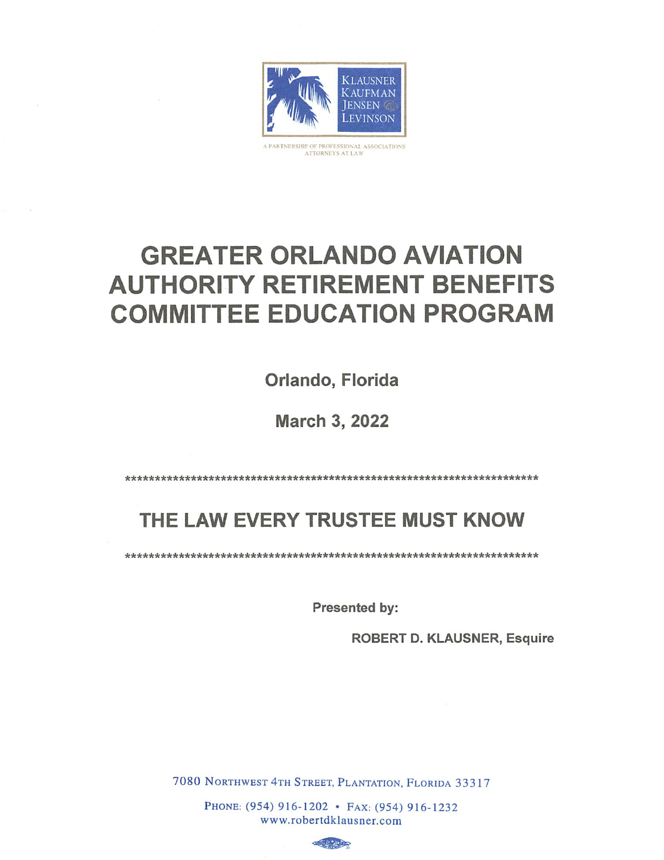

A PARTNERSHIP OF PROFESSIONAL ASSOCIATIONS<br>ATTORNEYS AT LAW

# **GREATER ORLANDO AVIATION AUTHORITY RETIREMENT BENEFITS COMMITTEE EDUCATION PROGRAM**

Orlando, Florida

**March 3, 2022** 

## THE LAW EVERY TRUSTEE MUST KNOW

Presented by:

**ROBERT D. KLAUSNER, Esquire** 

7080 NORTHWEST 4TH STREET, PLANTATION, FLORIDA 33317

PHONE: (954) 916-1202 • FAX: (954) 916-1232 www.robertdklausner.com

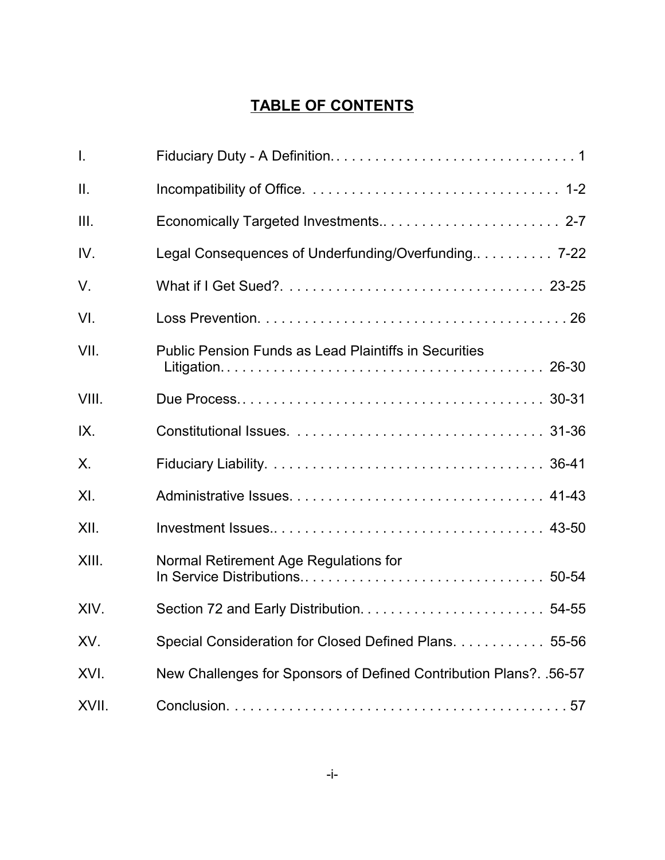## **TABLE OF CONTENTS**

| Τ.          |                                                                    |
|-------------|--------------------------------------------------------------------|
| II.         |                                                                    |
| III.        |                                                                    |
| IV.         | Legal Consequences of Underfunding/Overfunding 7-22                |
| $V_{\cdot}$ |                                                                    |
| VI.         |                                                                    |
| VII.        | Public Pension Funds as Lead Plaintiffs in Securities              |
| VIII.       |                                                                    |
| IX.         |                                                                    |
| Χ.          |                                                                    |
| XI.         |                                                                    |
| XII.        |                                                                    |
| XIII.       | Normal Retirement Age Regulations for                              |
| XIV.        |                                                                    |
| XV.         | Special Consideration for Closed Defined Plans. 55-56              |
| XVI.        | New Challenges for Sponsors of Defined Contribution Plans?. .56-57 |
| XVII.       |                                                                    |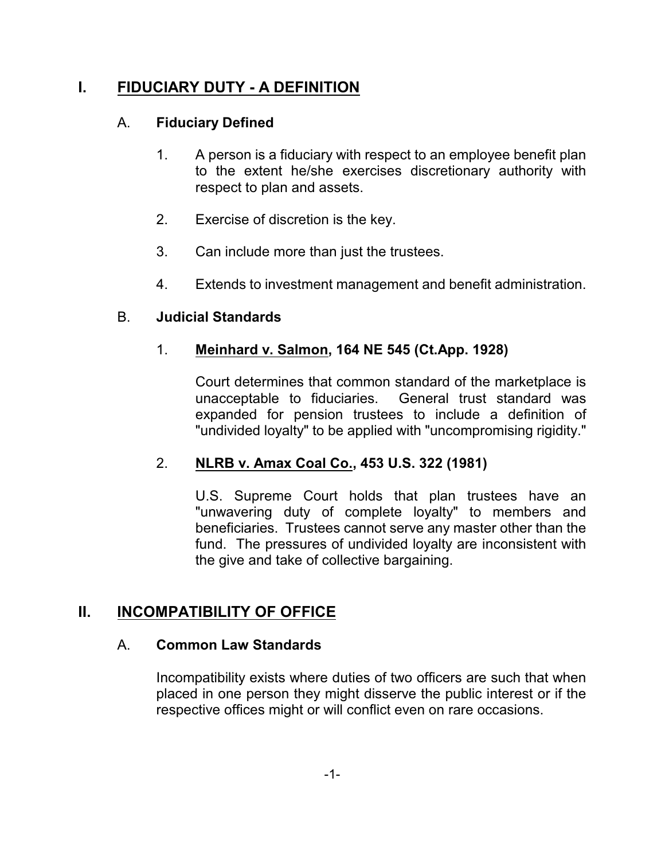## **I. FIDUCIARY DUTY - A DEFINITION**

#### A. **Fiduciary Defined**

- 1. A person is a fiduciary with respect to an employee benefit plan to the extent he/she exercises discretionary authority with respect to plan and assets.
- 2. Exercise of discretion is the key.
- 3. Can include more than just the trustees.
- 4. Extends to investment management and benefit administration.

#### B. **Judicial Standards**

#### 1. **Meinhard v. Salmon, 164 NE 545 (Ct.App. 1928)**

Court determines that common standard of the marketplace is unacceptable to fiduciaries. General trust standard was expanded for pension trustees to include a definition of "undivided loyalty" to be applied with "uncompromising rigidity."

#### 2. **NLRB v. Amax Coal Co., 453 U.S. 322 (1981)**

U.S. Supreme Court holds that plan trustees have an "unwavering duty of complete loyalty" to members and beneficiaries. Trustees cannot serve any master other than the fund. The pressures of undivided loyalty are inconsistent with the give and take of collective bargaining.

## **II. INCOMPATIBILITY OF OFFICE**

#### A. **Common Law Standards**

Incompatibility exists where duties of two officers are such that when placed in one person they might disserve the public interest or if the respective offices might or will conflict even on rare occasions.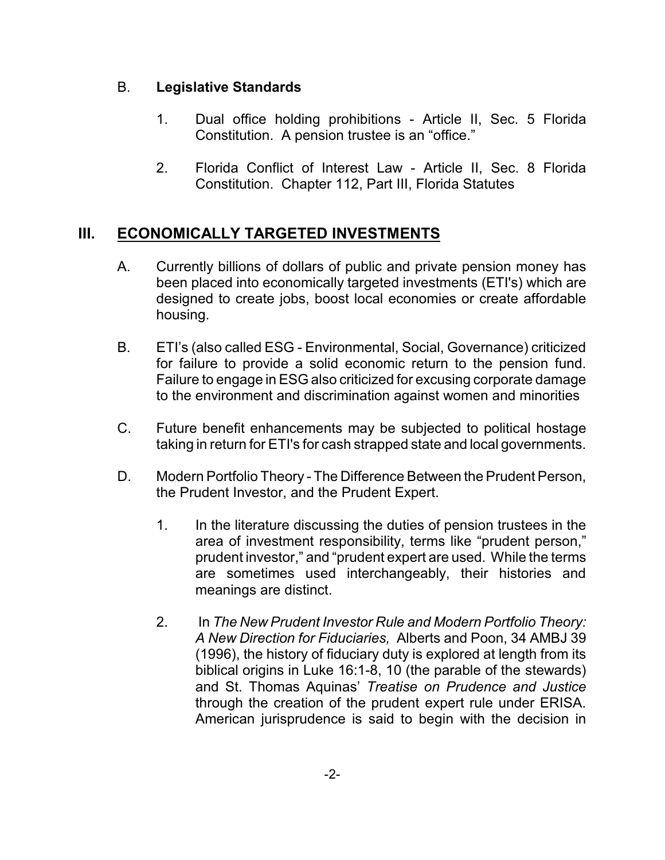#### B. **Legislative Standards**

- 1. Dual office holding prohibitions Article II, Sec. 5 Florida Constitution. A pension trustee is an "office."
- 2. Florida Conflict of Interest Law Article II, Sec. 8 Florida Constitution. Chapter 112, Part III, Florida Statutes

## **III. ECONOMICALLY TARGETED INVESTMENTS**

- A. Currently billions of dollars of public and private pension money has been placed into economically targeted investments (ETI's) which are designed to create jobs, boost local economies or create affordable housing.
- B. ETI's (also called ESG Environmental, Social, Governance) criticized for failure to provide a solid economic return to the pension fund. Failure to engage in ESG also criticized for excusing corporate damage to the environment and discrimination against women and minorities
- C. Future benefit enhancements may be subjected to political hostage taking in return for ETI's for cash strapped state and local governments.
- D. Modern Portfolio Theory The Difference Between the Prudent Person, the Prudent Investor, and the Prudent Expert.
	- 1. In the literature discussing the duties of pension trustees in the area of investment responsibility, terms like "prudent person," prudent investor," and "prudent expert are used. While the terms are sometimes used interchangeably, their histories and meanings are distinct.
	- 2. In *The New Prudent Investor Rule and Modern Portfolio Theory: A New Direction for Fiduciaries,* Alberts and Poon, 34 AMBJ 39 (1996), the history of fiduciary duty is explored at length from its biblical origins in Luke 16:1-8, 10 (the parable of the stewards) and St. Thomas Aquinas' *Treatise on Prudence and Justice* through the creation of the prudent expert rule under ERISA. American jurisprudence is said to begin with the decision in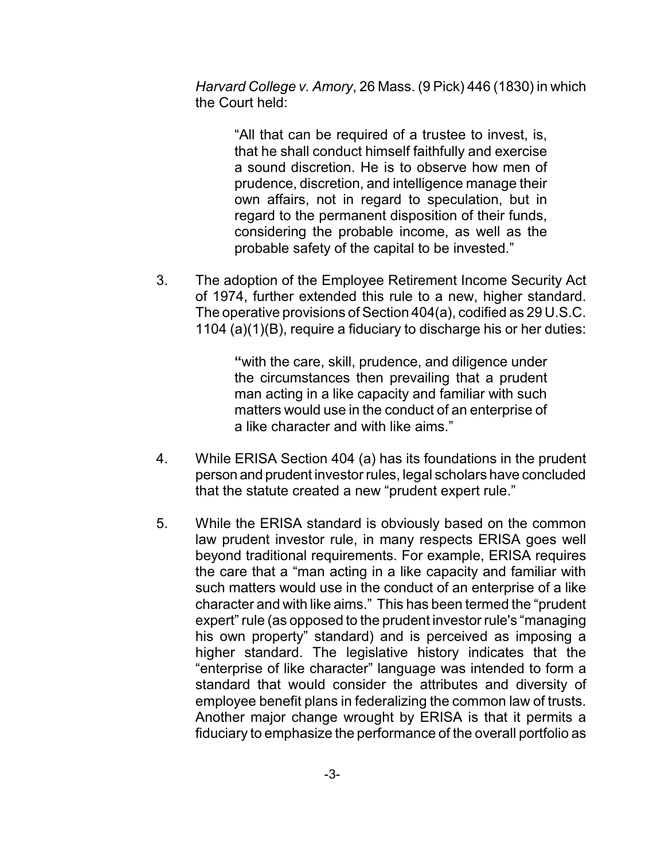*Harvard College v. Amory*, 26 Mass. (9 Pick) 446 (1830) in which the Court held:

> "All that can be required of a trustee to invest, is, that he shall conduct himself faithfully and exercise a sound discretion. He is to observe how men of prudence, discretion, and intelligence manage their own affairs, not in regard to speculation, but in regard to the permanent disposition of their funds, considering the probable income, as well as the probable safety of the capital to be invested."

3. The adoption of the Employee Retirement Income Security Act of 1974, further extended this rule to a new, higher standard. The operative provisions of Section 404(a), codified as 29 U.S.C. 1104 (a)(1)(B), require a fiduciary to discharge his or her duties:

> **"**with the care, skill, prudence, and diligence under the circumstances then prevailing that a prudent man acting in a like capacity and familiar with such matters would use in the conduct of an enterprise of a like character and with like aims."

- 4. While ERISA Section 404 (a) has its foundations in the prudent person and prudent investor rules, legal scholars have concluded that the statute created a new "prudent expert rule."
- 5. While the ERISA standard is obviously based on the common law prudent investor rule, in many respects ERISA goes well beyond traditional requirements. For example, ERISA requires the care that a "man acting in a like capacity and familiar with such matters would use in the conduct of an enterprise of a like character and with like aims." This has been termed the "prudent expert" rule (as opposed to the prudent investor rule's "managing his own property" standard) and is perceived as imposing a higher standard. The legislative history indicates that the "enterprise of like character" language was intended to form a standard that would consider the attributes and diversity of employee benefit plans in federalizing the common law of trusts. Another major change wrought by ERISA is that it permits a fiduciary to emphasize the performance of the overall portfolio as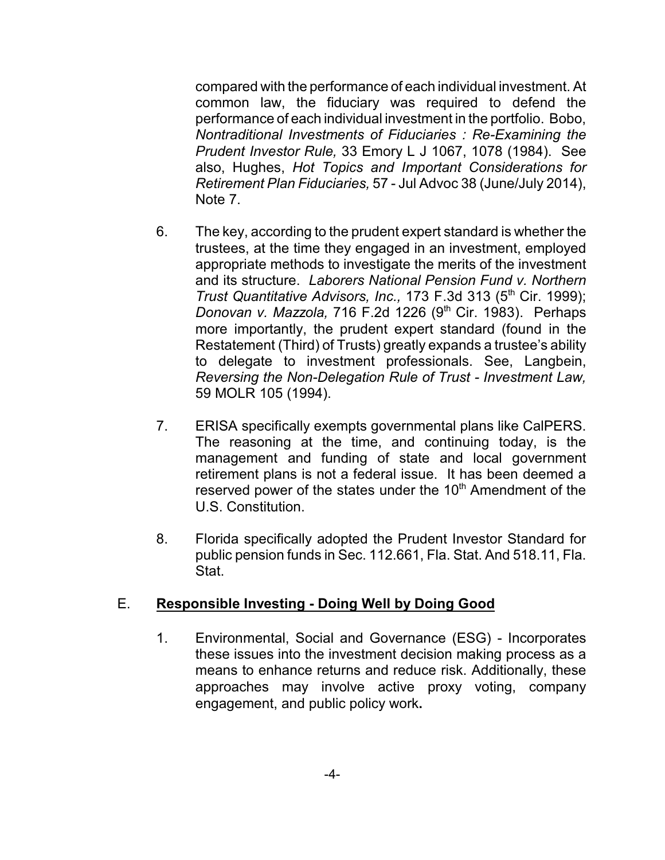compared with the performance of each individual investment. At common law, the fiduciary was required to defend the performance of each individual investment in the portfolio. Bobo, *Nontraditional Investments of Fiduciaries : Re-Examining the Prudent Investor Rule,* 33 Emory L J 1067, 1078 (1984). See also, Hughes, *Hot Topics and Important Considerations for Retirement Plan Fiduciaries,* 57 - Jul Advoc 38 (June/July 2014), Note 7.

- 6. The key, according to the prudent expert standard is whether the trustees, at the time they engaged in an investment, employed appropriate methods to investigate the merits of the investment and its structure. *Laborers National Pension Fund v. Northern Trust Quantitative Advisors, Inc., 173 F.3d 313 (5<sup>th</sup> Cir. 1999); Donovan v. Mazzola, 716 F.2d 1226 (9<sup>th</sup> Cir. 1983). Perhaps* more importantly, the prudent expert standard (found in the Restatement (Third) of Trusts) greatly expands a trustee's ability to delegate to investment professionals. See, Langbein, *Reversing the Non-Delegation Rule of Trust - Investment Law,* 59 MOLR 105 (1994).
- 7. ERISA specifically exempts governmental plans like CalPERS. The reasoning at the time, and continuing today, is the management and funding of state and local government retirement plans is not a federal issue. It has been deemed a reserved power of the states under the 10<sup>th</sup> Amendment of the U.S. Constitution.
- 8. Florida specifically adopted the Prudent Investor Standard for public pension funds in Sec. 112.661, Fla. Stat. And 518.11, Fla. Stat.

#### E. **Responsible Investing - Doing Well by Doing Good**

1. Environmental, Social and Governance (ESG) - Incorporates these issues into the investment decision making process as a means to enhance returns and reduce risk. Additionally, these approaches may involve active proxy voting, company engagement, and public policy work**.**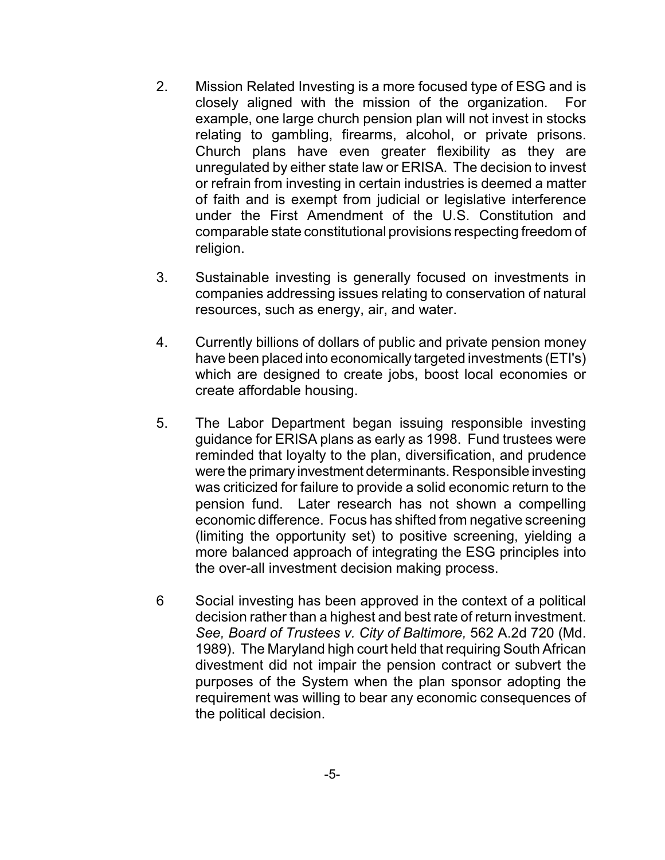- 2. Mission Related Investing is a more focused type of ESG and is closely aligned with the mission of the organization. For example, one large church pension plan will not invest in stocks relating to gambling, firearms, alcohol, or private prisons. Church plans have even greater flexibility as they are unregulated by either state law or ERISA. The decision to invest or refrain from investing in certain industries is deemed a matter of faith and is exempt from judicial or legislative interference under the First Amendment of the U.S. Constitution and comparable state constitutional provisions respecting freedom of religion.
- 3. Sustainable investing is generally focused on investments in companies addressing issues relating to conservation of natural resources, such as energy, air, and water.
- 4. Currently billions of dollars of public and private pension money have been placed into economically targeted investments (ETI's) which are designed to create jobs, boost local economies or create affordable housing.
- 5. The Labor Department began issuing responsible investing guidance for ERISA plans as early as 1998. Fund trustees were reminded that loyalty to the plan, diversification, and prudence were the primary investment determinants. Responsible investing was criticized for failure to provide a solid economic return to the pension fund. Later research has not shown a compelling economic difference. Focus has shifted from negative screening (limiting the opportunity set) to positive screening, yielding a more balanced approach of integrating the ESG principles into the over-all investment decision making process.
- 6 Social investing has been approved in the context of a political decision rather than a highest and best rate of return investment. *See, Board of Trustees v. City of Baltimore,* 562 A.2d 720 (Md. 1989). The Maryland high court held that requiring South African divestment did not impair the pension contract or subvert the purposes of the System when the plan sponsor adopting the requirement was willing to bear any economic consequences of the political decision.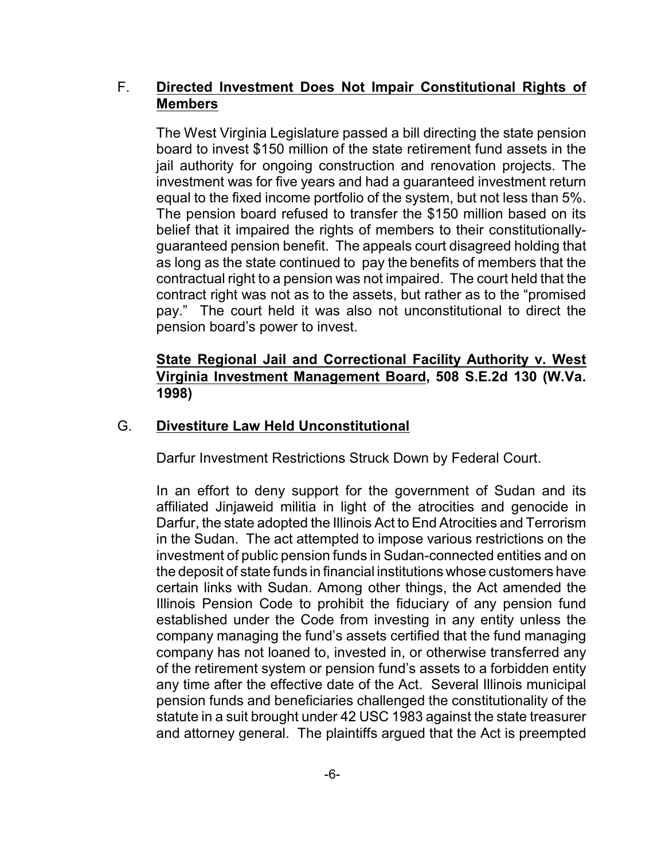#### F. **Directed Investment Does Not Impair Constitutional Rights of Members**

The West Virginia Legislature passed a bill directing the state pension board to invest \$150 million of the state retirement fund assets in the jail authority for ongoing construction and renovation projects. The investment was for five years and had a guaranteed investment return equal to the fixed income portfolio of the system, but not less than 5%. The pension board refused to transfer the \$150 million based on its belief that it impaired the rights of members to their constitutionallyguaranteed pension benefit. The appeals court disagreed holding that as long as the state continued to pay the benefits of members that the contractual right to a pension was not impaired. The court held that the contract right was not as to the assets, but rather as to the "promised pay." The court held it was also not unconstitutional to direct the pension board's power to invest.

#### **State Regional Jail and Correctional Facility Authority v. West Virginia Investment Management Board, 508 S.E.2d 130 (W.Va. 1998)**

#### G. **Divestiture Law Held Unconstitutional**

Darfur Investment Restrictions Struck Down by Federal Court.

In an effort to deny support for the government of Sudan and its affiliated Jinjaweid militia in light of the atrocities and genocide in Darfur, the state adopted the Illinois Act to End Atrocities and Terrorism in the Sudan. The act attempted to impose various restrictions on the investment of public pension funds in Sudan-connected entities and on the deposit of state funds in financial institutions whose customers have certain links with Sudan. Among other things, the Act amended the Illinois Pension Code to prohibit the fiduciary of any pension fund established under the Code from investing in any entity unless the company managing the fund's assets certified that the fund managing company has not loaned to, invested in, or otherwise transferred any of the retirement system or pension fund's assets to a forbidden entity any time after the effective date of the Act. Several Illinois municipal pension funds and beneficiaries challenged the constitutionality of the statute in a suit brought under 42 USC 1983 against the state treasurer and attorney general. The plaintiffs argued that the Act is preempted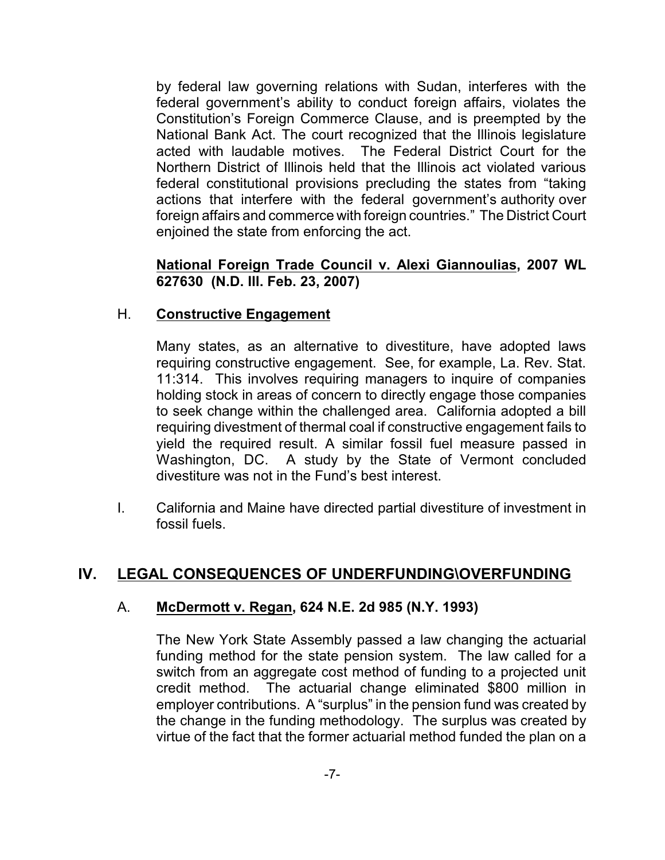by federal law governing relations with Sudan, interferes with the federal government's ability to conduct foreign affairs, violates the Constitution's Foreign Commerce Clause, and is preempted by the National Bank Act. The court recognized that the Illinois legislature acted with laudable motives. The Federal District Court for the Northern District of Illinois held that the Illinois act violated various federal constitutional provisions precluding the states from "taking actions that interfere with the federal government's authority over foreign affairs and commerce with foreign countries." The District Court enjoined the state from enforcing the act.

#### **National Foreign Trade Council v. Alexi Giannoulias, 2007 WL 627630 (N.D. Ill. Feb. 23, 2007)**

#### H. **Constructive Engagement**

Many states, as an alternative to divestiture, have adopted laws requiring constructive engagement. See, for example, La. Rev. Stat. 11:314. This involves requiring managers to inquire of companies holding stock in areas of concern to directly engage those companies to seek change within the challenged area. California adopted a bill requiring divestment of thermal coal if constructive engagement fails to yield the required result. A similar fossil fuel measure passed in Washington, DC. A study by the State of Vermont concluded divestiture was not in the Fund's best interest.

I. California and Maine have directed partial divestiture of investment in fossil fuels.

## **IV. LEGAL CONSEQUENCES OF UNDERFUNDING\OVERFUNDING**

#### A. **McDermott v. Regan, 624 N.E. 2d 985 (N.Y. 1993)**

The New York State Assembly passed a law changing the actuarial funding method for the state pension system. The law called for a switch from an aggregate cost method of funding to a projected unit credit method. The actuarial change eliminated \$800 million in employer contributions. A "surplus" in the pension fund was created by the change in the funding methodology. The surplus was created by virtue of the fact that the former actuarial method funded the plan on a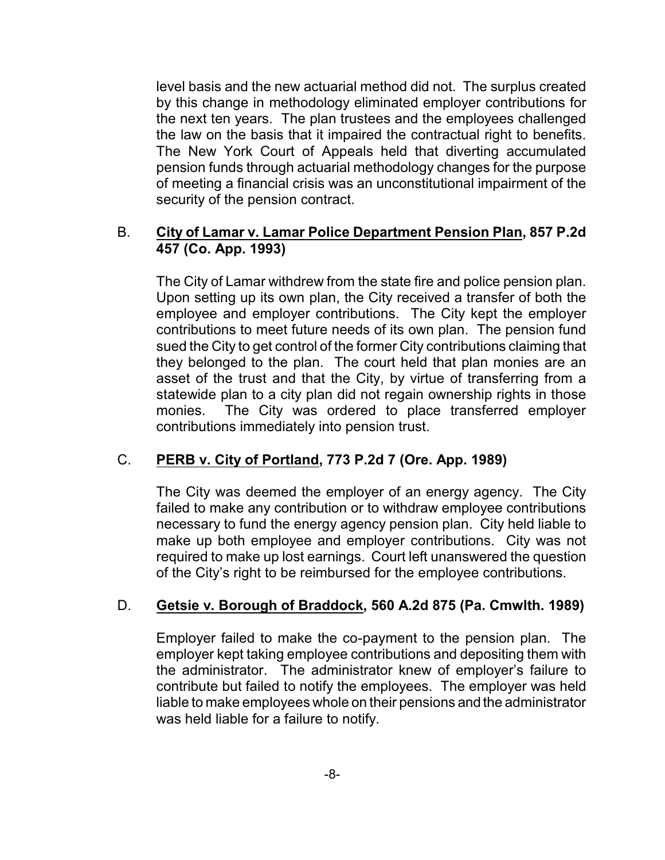level basis and the new actuarial method did not. The surplus created by this change in methodology eliminated employer contributions for the next ten years. The plan trustees and the employees challenged the law on the basis that it impaired the contractual right to benefits. The New York Court of Appeals held that diverting accumulated pension funds through actuarial methodology changes for the purpose of meeting a financial crisis was an unconstitutional impairment of the security of the pension contract.

#### B. **City of Lamar v. Lamar Police Department Pension Plan, 857 P.2d 457 (Co. App. 1993)**

The City of Lamar withdrew from the state fire and police pension plan. Upon setting up its own plan, the City received a transfer of both the employee and employer contributions. The City kept the employer contributions to meet future needs of its own plan. The pension fund sued the City to get control of the former City contributions claiming that they belonged to the plan. The court held that plan monies are an asset of the trust and that the City, by virtue of transferring from a statewide plan to a city plan did not regain ownership rights in those monies. The City was ordered to place transferred employer contributions immediately into pension trust.

#### C. **PERB v. City of Portland, 773 P.2d 7 (Ore. App. 1989)**

The City was deemed the employer of an energy agency. The City failed to make any contribution or to withdraw employee contributions necessary to fund the energy agency pension plan. City held liable to make up both employee and employer contributions. City was not required to make up lost earnings. Court left unanswered the question of the City's right to be reimbursed for the employee contributions.

#### D. **Getsie v. Borough of Braddock, 560 A.2d 875 (Pa. Cmwlth. 1989)**

Employer failed to make the co-payment to the pension plan. The employer kept taking employee contributions and depositing them with the administrator. The administrator knew of employer's failure to contribute but failed to notify the employees. The employer was held liable to make employees whole on their pensions and the administrator was held liable for a failure to notify.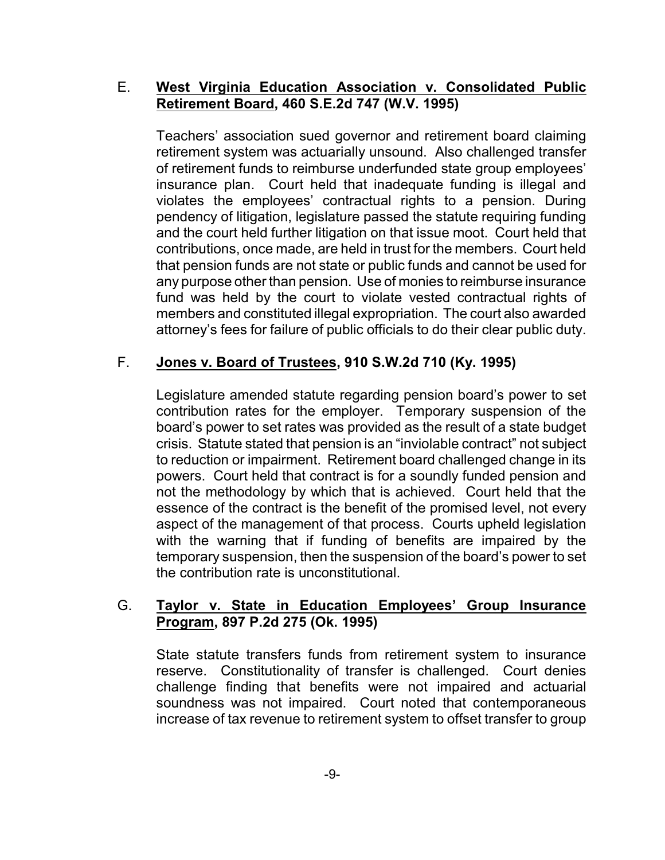#### E. **West Virginia Education Association v. Consolidated Public Retirement Board, 460 S.E.2d 747 (W.V. 1995)**

Teachers' association sued governor and retirement board claiming retirement system was actuarially unsound. Also challenged transfer of retirement funds to reimburse underfunded state group employees' insurance plan. Court held that inadequate funding is illegal and violates the employees' contractual rights to a pension. During pendency of litigation, legislature passed the statute requiring funding and the court held further litigation on that issue moot. Court held that contributions, once made, are held in trust for the members. Court held that pension funds are not state or public funds and cannot be used for any purpose other than pension. Use of monies to reimburse insurance fund was held by the court to violate vested contractual rights of members and constituted illegal expropriation. The court also awarded attorney's fees for failure of public officials to do their clear public duty.

## F. **Jones v. Board of Trustees, 910 S.W.2d 710 (Ky. 1995)**

Legislature amended statute regarding pension board's power to set contribution rates for the employer. Temporary suspension of the board's power to set rates was provided as the result of a state budget crisis. Statute stated that pension is an "inviolable contract" not subject to reduction or impairment. Retirement board challenged change in its powers. Court held that contract is for a soundly funded pension and not the methodology by which that is achieved. Court held that the essence of the contract is the benefit of the promised level, not every aspect of the management of that process. Courts upheld legislation with the warning that if funding of benefits are impaired by the temporary suspension, then the suspension of the board's power to set the contribution rate is unconstitutional.

#### G. **Taylor v. State in Education Employees' Group Insurance Program, 897 P.2d 275 (Ok. 1995)**

State statute transfers funds from retirement system to insurance reserve. Constitutionality of transfer is challenged. Court denies challenge finding that benefits were not impaired and actuarial soundness was not impaired. Court noted that contemporaneous increase of tax revenue to retirement system to offset transfer to group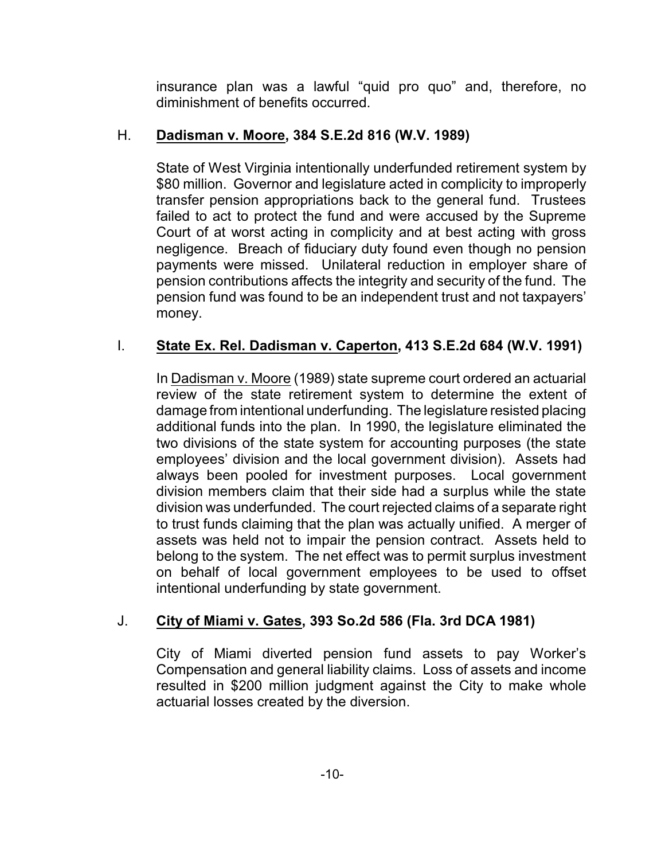insurance plan was a lawful "quid pro quo" and, therefore, no diminishment of benefits occurred.

## H. **Dadisman v. Moore, 384 S.E.2d 816 (W.V. 1989)**

State of West Virginia intentionally underfunded retirement system by \$80 million. Governor and legislature acted in complicity to improperly transfer pension appropriations back to the general fund. Trustees failed to act to protect the fund and were accused by the Supreme Court of at worst acting in complicity and at best acting with gross negligence. Breach of fiduciary duty found even though no pension payments were missed. Unilateral reduction in employer share of pension contributions affects the integrity and security of the fund. The pension fund was found to be an independent trust and not taxpayers' money.

## I. **State Ex. Rel. Dadisman v. Caperton, 413 S.E.2d 684 (W.V. 1991)**

In Dadisman v. Moore (1989) state supreme court ordered an actuarial review of the state retirement system to determine the extent of damage from intentional underfunding. The legislature resisted placing additional funds into the plan. In 1990, the legislature eliminated the two divisions of the state system for accounting purposes (the state employees' division and the local government division). Assets had always been pooled for investment purposes. Local government division members claim that their side had a surplus while the state division was underfunded. The court rejected claims of a separate right to trust funds claiming that the plan was actually unified. A merger of assets was held not to impair the pension contract. Assets held to belong to the system. The net effect was to permit surplus investment on behalf of local government employees to be used to offset intentional underfunding by state government.

## J. **City of Miami v. Gates, 393 So.2d 586 (Fla. 3rd DCA 1981)**

City of Miami diverted pension fund assets to pay Worker's Compensation and general liability claims. Loss of assets and income resulted in \$200 million judgment against the City to make whole actuarial losses created by the diversion.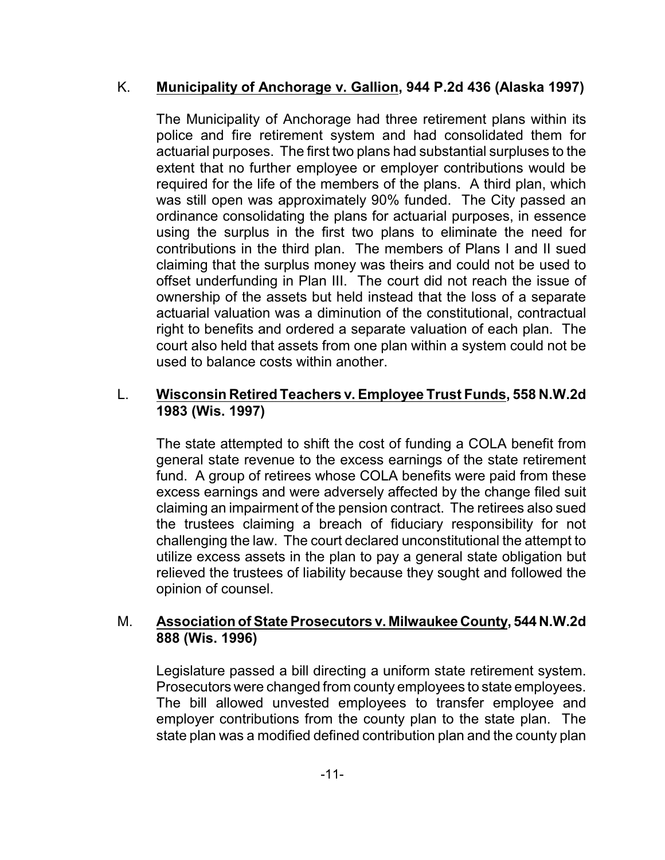#### K. **Municipality of Anchorage v. Gallion, 944 P.2d 436 (Alaska 1997)**

The Municipality of Anchorage had three retirement plans within its police and fire retirement system and had consolidated them for actuarial purposes. The first two plans had substantial surpluses to the extent that no further employee or employer contributions would be required for the life of the members of the plans. A third plan, which was still open was approximately 90% funded. The City passed an ordinance consolidating the plans for actuarial purposes, in essence using the surplus in the first two plans to eliminate the need for contributions in the third plan. The members of Plans I and II sued claiming that the surplus money was theirs and could not be used to offset underfunding in Plan III. The court did not reach the issue of ownership of the assets but held instead that the loss of a separate actuarial valuation was a diminution of the constitutional, contractual right to benefits and ordered a separate valuation of each plan. The court also held that assets from one plan within a system could not be used to balance costs within another.

#### L. **Wisconsin Retired Teachers v. Employee Trust Funds, 558 N.W.2d 1983 (Wis. 1997)**

The state attempted to shift the cost of funding a COLA benefit from general state revenue to the excess earnings of the state retirement fund. A group of retirees whose COLA benefits were paid from these excess earnings and were adversely affected by the change filed suit claiming an impairment of the pension contract. The retirees also sued the trustees claiming a breach of fiduciary responsibility for not challenging the law. The court declared unconstitutional the attempt to utilize excess assets in the plan to pay a general state obligation but relieved the trustees of liability because they sought and followed the opinion of counsel.

#### M. **Association of State Prosecutors v. Milwaukee County, 544 N.W.2d 888 (Wis. 1996)**

Legislature passed a bill directing a uniform state retirement system. Prosecutors were changed from county employees to state employees. The bill allowed unvested employees to transfer employee and employer contributions from the county plan to the state plan. The state plan was a modified defined contribution plan and the county plan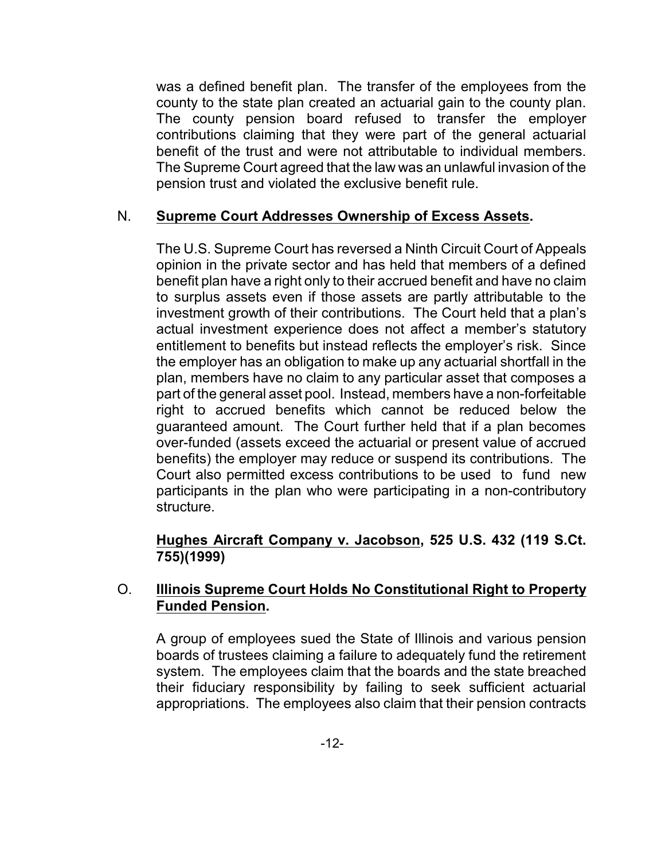was a defined benefit plan. The transfer of the employees from the county to the state plan created an actuarial gain to the county plan. The county pension board refused to transfer the employer contributions claiming that they were part of the general actuarial benefit of the trust and were not attributable to individual members. The Supreme Court agreed that the law was an unlawful invasion of the pension trust and violated the exclusive benefit rule.

#### N. **Supreme Court Addresses Ownership of Excess Assets.**

The U.S. Supreme Court has reversed a Ninth Circuit Court of Appeals opinion in the private sector and has held that members of a defined benefit plan have a right only to their accrued benefit and have no claim to surplus assets even if those assets are partly attributable to the investment growth of their contributions. The Court held that a plan's actual investment experience does not affect a member's statutory entitlement to benefits but instead reflects the employer's risk. Since the employer has an obligation to make up any actuarial shortfall in the plan, members have no claim to any particular asset that composes a part of the general asset pool. Instead, members have a non-forfeitable right to accrued benefits which cannot be reduced below the guaranteed amount. The Court further held that if a plan becomes over-funded (assets exceed the actuarial or present value of accrued benefits) the employer may reduce or suspend its contributions. The Court also permitted excess contributions to be used to fund new participants in the plan who were participating in a non-contributory structure.

#### **Hughes Aircraft Company v. Jacobson, 525 U.S. 432 (119 S.Ct. 755)(1999)**

#### O. **Illinois Supreme Court Holds No Constitutional Right to Property Funded Pension.**

A group of employees sued the State of Illinois and various pension boards of trustees claiming a failure to adequately fund the retirement system. The employees claim that the boards and the state breached their fiduciary responsibility by failing to seek sufficient actuarial appropriations. The employees also claim that their pension contracts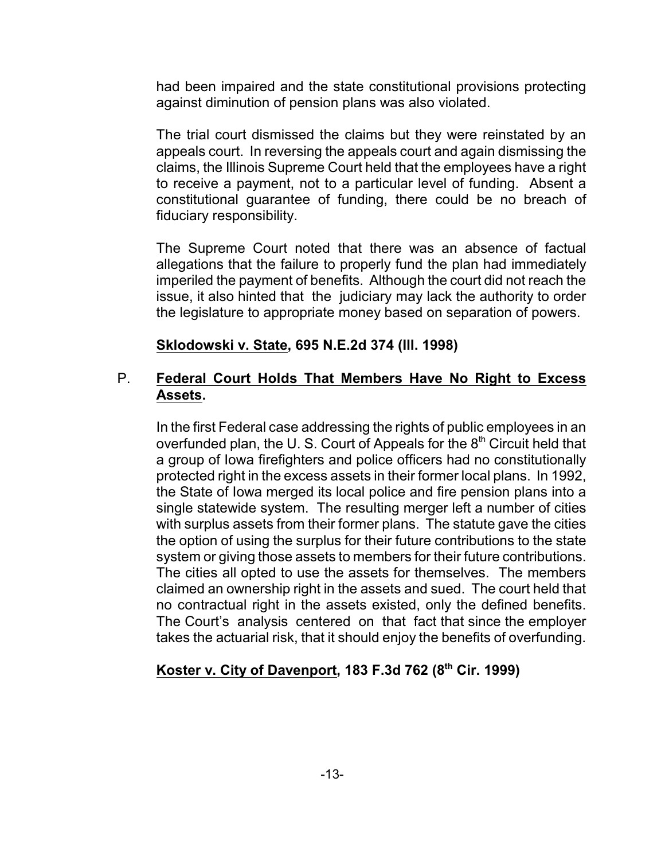had been impaired and the state constitutional provisions protecting against diminution of pension plans was also violated.

The trial court dismissed the claims but they were reinstated by an appeals court. In reversing the appeals court and again dismissing the claims, the Illinois Supreme Court held that the employees have a right to receive a payment, not to a particular level of funding. Absent a constitutional guarantee of funding, there could be no breach of fiduciary responsibility.

The Supreme Court noted that there was an absence of factual allegations that the failure to properly fund the plan had immediately imperiled the payment of benefits. Although the court did not reach the issue, it also hinted that the judiciary may lack the authority to order the legislature to appropriate money based on separation of powers.

#### **Sklodowski v. State, 695 N.E.2d 374 (Ill. 1998)**

#### P. **Federal Court Holds That Members Have No Right to Excess Assets.**

In the first Federal case addressing the rights of public employees in an overfunded plan, the U. S. Court of Appeals for the  $8<sup>th</sup>$  Circuit held that a group of Iowa firefighters and police officers had no constitutionally protected right in the excess assets in their former local plans. In 1992, the State of Iowa merged its local police and fire pension plans into a single statewide system. The resulting merger left a number of cities with surplus assets from their former plans. The statute gave the cities the option of using the surplus for their future contributions to the state system or giving those assets to members for their future contributions. The cities all opted to use the assets for themselves. The members claimed an ownership right in the assets and sued. The court held that no contractual right in the assets existed, only the defined benefits. The Court's analysis centered on that fact that since the employer takes the actuarial risk, that it should enjoy the benefits of overfunding.

#### **Koster v. City of Davenport, 183 F.3d 762 (8th Cir. 1999)**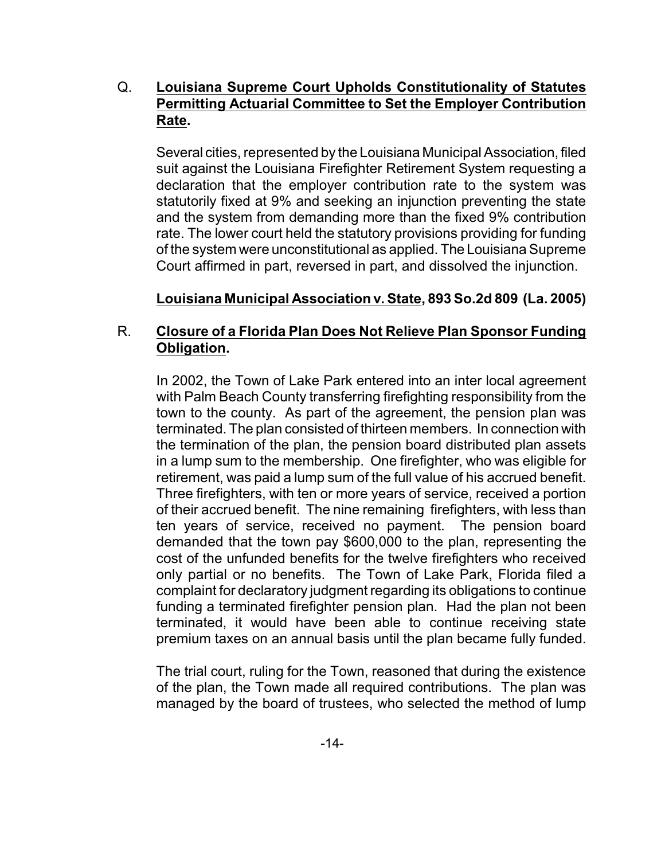#### Q. **Louisiana Supreme Court Upholds Constitutionality of Statutes Permitting Actuarial Committee to Set the Employer Contribution Rate.**

Several cities, represented by the Louisiana Municipal Association, filed suit against the Louisiana Firefighter Retirement System requesting a declaration that the employer contribution rate to the system was statutorily fixed at 9% and seeking an injunction preventing the state and the system from demanding more than the fixed 9% contribution rate. The lower court held the statutory provisions providing for funding of the system were unconstitutional as applied. The Louisiana Supreme Court affirmed in part, reversed in part, and dissolved the injunction.

#### **Louisiana Municipal Association v. State, 893 So.2d 809 (La. 2005)**

#### R. **Closure of a Florida Plan Does Not Relieve Plan Sponsor Funding Obligation.**

In 2002, the Town of Lake Park entered into an inter local agreement with Palm Beach County transferring firefighting responsibility from the town to the county. As part of the agreement, the pension plan was terminated. The plan consisted of thirteen members. In connection with the termination of the plan, the pension board distributed plan assets in a lump sum to the membership. One firefighter, who was eligible for retirement, was paid a lump sum of the full value of his accrued benefit. Three firefighters, with ten or more years of service, received a portion of their accrued benefit. The nine remaining firefighters, with less than ten years of service, received no payment. The pension board demanded that the town pay \$600,000 to the plan, representing the cost of the unfunded benefits for the twelve firefighters who received only partial or no benefits. The Town of Lake Park, Florida filed a complaint for declaratory judgment regarding its obligations to continue funding a terminated firefighter pension plan. Had the plan not been terminated, it would have been able to continue receiving state premium taxes on an annual basis until the plan became fully funded.

The trial court, ruling for the Town, reasoned that during the existence of the plan, the Town made all required contributions. The plan was managed by the board of trustees, who selected the method of lump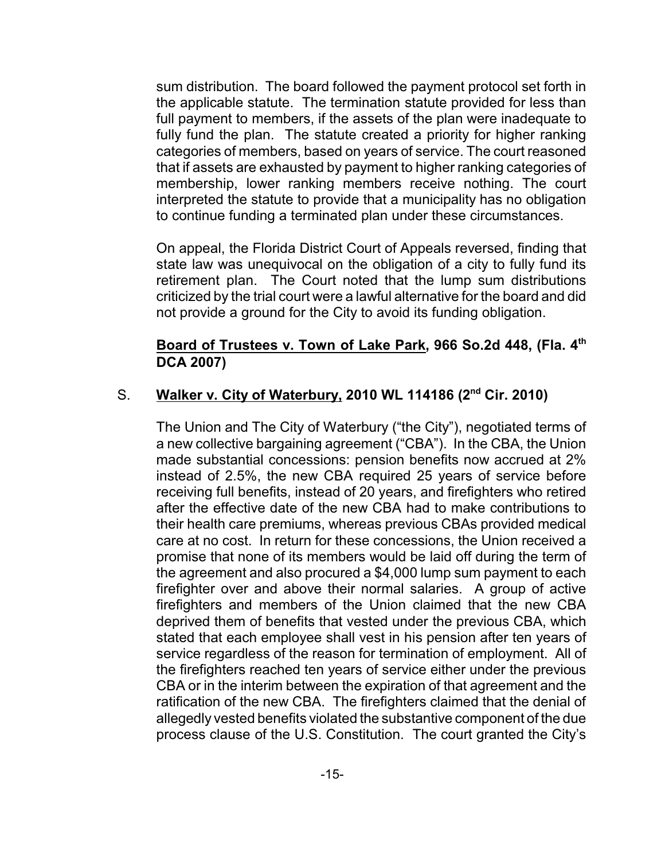sum distribution. The board followed the payment protocol set forth in the applicable statute. The termination statute provided for less than full payment to members, if the assets of the plan were inadequate to fully fund the plan. The statute created a priority for higher ranking categories of members, based on years of service. The court reasoned that if assets are exhausted by payment to higher ranking categories of membership, lower ranking members receive nothing. The court interpreted the statute to provide that a municipality has no obligation to continue funding a terminated plan under these circumstances.

On appeal, the Florida District Court of Appeals reversed, finding that state law was unequivocal on the obligation of a city to fully fund its retirement plan. The Court noted that the lump sum distributions criticized by the trial court were a lawful alternative for the board and did not provide a ground for the City to avoid its funding obligation.

#### **Board of Trustees v. Town of Lake Park, 966 So.2d 448, (Fla. 4 th DCA 2007)**

#### S. **Walker v. City of Waterbury, 2010 WL 114186 (2nd Cir. 2010)**

The Union and The City of Waterbury ("the City"), negotiated terms of a new collective bargaining agreement ("CBA"). In the CBA, the Union made substantial concessions: pension benefits now accrued at 2% instead of 2.5%, the new CBA required 25 years of service before receiving full benefits, instead of 20 years, and firefighters who retired after the effective date of the new CBA had to make contributions to their health care premiums, whereas previous CBAs provided medical care at no cost. In return for these concessions, the Union received a promise that none of its members would be laid off during the term of the agreement and also procured a \$4,000 lump sum payment to each firefighter over and above their normal salaries. A group of active firefighters and members of the Union claimed that the new CBA deprived them of benefits that vested under the previous CBA, which stated that each employee shall vest in his pension after ten years of service regardless of the reason for termination of employment. All of the firefighters reached ten years of service either under the previous CBA or in the interim between the expiration of that agreement and the ratification of the new CBA. The firefighters claimed that the denial of allegedly vested benefits violated the substantive component of the due process clause of the U.S. Constitution. The court granted the City's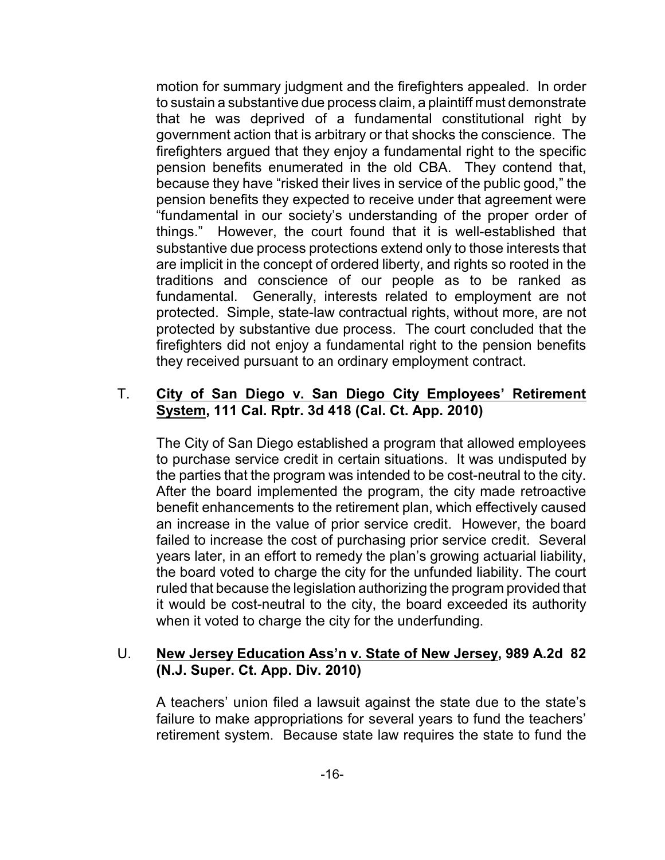motion for summary judgment and the firefighters appealed. In order to sustain a substantive due process claim, a plaintiff must demonstrate that he was deprived of a fundamental constitutional right by government action that is arbitrary or that shocks the conscience. The firefighters argued that they enjoy a fundamental right to the specific pension benefits enumerated in the old CBA. They contend that, because they have "risked their lives in service of the public good," the pension benefits they expected to receive under that agreement were "fundamental in our society's understanding of the proper order of things." However, the court found that it is well-established that substantive due process protections extend only to those interests that are implicit in the concept of ordered liberty, and rights so rooted in the traditions and conscience of our people as to be ranked as fundamental. Generally, interests related to employment are not protected. Simple, state-law contractual rights, without more, are not protected by substantive due process. The court concluded that the firefighters did not enjoy a fundamental right to the pension benefits they received pursuant to an ordinary employment contract.

#### T. **City of San Diego v. San Diego City Employees' Retirement System, 111 Cal. Rptr. 3d 418 (Cal. Ct. App. 2010)**

The City of San Diego established a program that allowed employees to purchase service credit in certain situations. It was undisputed by the parties that the program was intended to be cost-neutral to the city. After the board implemented the program, the city made retroactive benefit enhancements to the retirement plan, which effectively caused an increase in the value of prior service credit. However, the board failed to increase the cost of purchasing prior service credit. Several years later, in an effort to remedy the plan's growing actuarial liability, the board voted to charge the city for the unfunded liability. The court ruled that because the legislation authorizing the program provided that it would be cost-neutral to the city, the board exceeded its authority when it voted to charge the city for the underfunding.

#### U. **New Jersey Education Ass'n v. State of New Jersey, 989 A.2d 82 (N.J. Super. Ct. App. Div. 2010)**

A teachers' union filed a lawsuit against the state due to the state's failure to make appropriations for several years to fund the teachers' retirement system. Because state law requires the state to fund the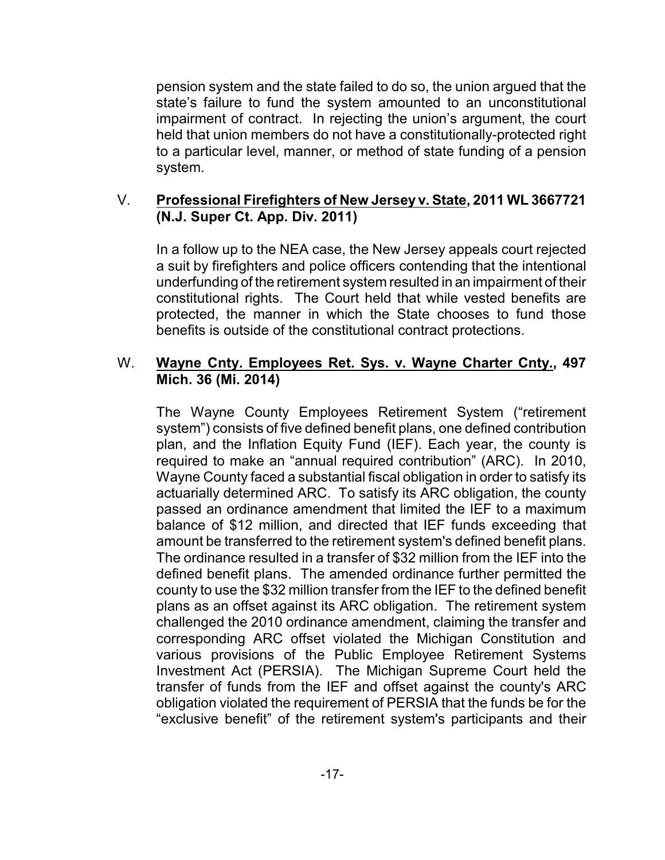pension system and the state failed to do so, the union argued that the state's failure to fund the system amounted to an unconstitutional impairment of contract. In rejecting the union's argument, the court held that union members do not have a constitutionally-protected right to a particular level, manner, or method of state funding of a pension system.

#### V. **Professional Firefighters of New Jersey v. State, 2011 WL 3667721 (N.J. Super Ct. App. Div. 2011)**

In a follow up to the NEA case, the New Jersey appeals court rejected a suit by firefighters and police officers contending that the intentional underfunding of the retirement system resulted in an impairment of their constitutional rights. The Court held that while vested benefits are protected, the manner in which the State chooses to fund those benefits is outside of the constitutional contract protections.

#### W. **Wayne Cnty. Employees Ret. Sys. v. Wayne Charter Cnty., 497 Mich. 36 (Mi. 2014)**

The Wayne County Employees Retirement System ("retirement system") consists of five defined benefit plans, one defined contribution plan, and the Inflation Equity Fund (IEF). Each year, the county is required to make an "annual required contribution" (ARC). In 2010, Wayne County faced a substantial fiscal obligation in order to satisfy its actuarially determined ARC. To satisfy its ARC obligation, the county passed an ordinance amendment that limited the IEF to a maximum balance of \$12 million, and directed that IEF funds exceeding that amount be transferred to the retirement system's defined benefit plans. The ordinance resulted in a transfer of \$32 million from the IEF into the defined benefit plans. The amended ordinance further permitted the county to use the \$32 million transfer from the IEF to the defined benefit plans as an offset against its ARC obligation. The retirement system challenged the 2010 ordinance amendment, claiming the transfer and corresponding ARC offset violated the Michigan Constitution and various provisions of the Public Employee Retirement Systems Investment Act (PERSIA). The Michigan Supreme Court held the transfer of funds from the IEF and offset against the county's ARC obligation violated the requirement of PERSIA that the funds be for the "exclusive benefit" of the retirement system's participants and their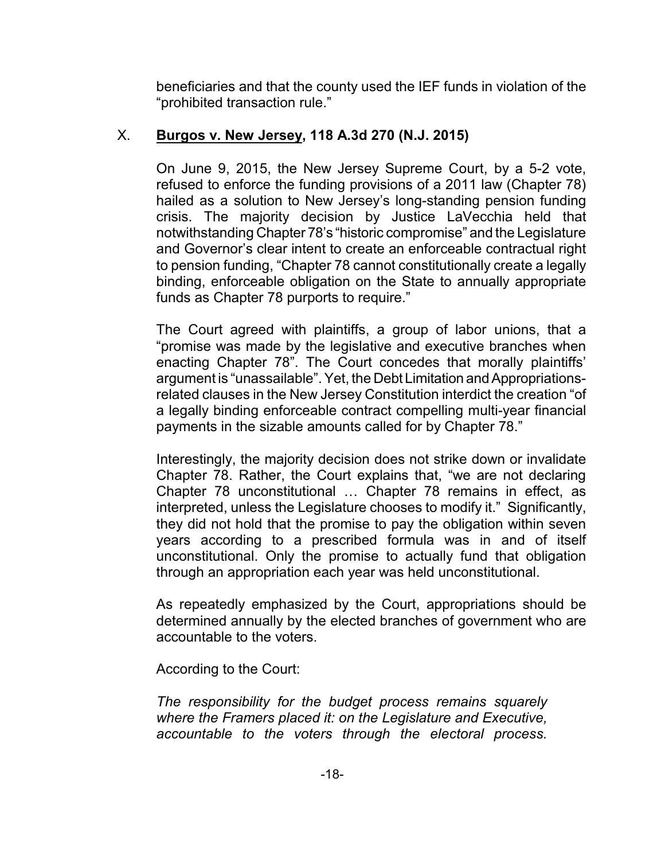beneficiaries and that the county used the IEF funds in violation of the "prohibited transaction rule."

#### X. **Burgos v. New Jersey, 118 A.3d 270 (N.J. 2015)**

On June 9, 2015, the New Jersey Supreme Court, by a 5-2 vote, refused to enforce the funding provisions of a 2011 law (Chapter 78) hailed as a solution to New Jersey's long-standing pension funding crisis. The majority decision by Justice LaVecchia held that notwithstanding Chapter 78's "historic compromise" and the Legislature and Governor's clear intent to create an enforceable contractual right to pension funding, "Chapter 78 cannot constitutionally create a legally binding, enforceable obligation on the State to annually appropriate funds as Chapter 78 purports to require."

The Court agreed with plaintiffs, a group of labor unions, that a "promise was made by the legislative and executive branches when enacting Chapter 78". The Court concedes that morally plaintiffs' argument is "unassailable". Yet, the Debt Limitation and Appropriationsrelated clauses in the New Jersey Constitution interdict the creation "of a legally binding enforceable contract compelling multi-year financial payments in the sizable amounts called for by Chapter 78."

Interestingly, the majority decision does not strike down or invalidate Chapter 78. Rather, the Court explains that, "we are not declaring Chapter 78 unconstitutional … Chapter 78 remains in effect, as interpreted, unless the Legislature chooses to modify it." Significantly, they did not hold that the promise to pay the obligation within seven years according to a prescribed formula was in and of itself unconstitutional. Only the promise to actually fund that obligation through an appropriation each year was held unconstitutional.

As repeatedly emphasized by the Court, appropriations should be determined annually by the elected branches of government who are accountable to the voters.

According to the Court:

*The responsibility for the budget process remains squarely where the Framers placed it: on the Legislature and Executive, accountable to the voters through the electoral process.*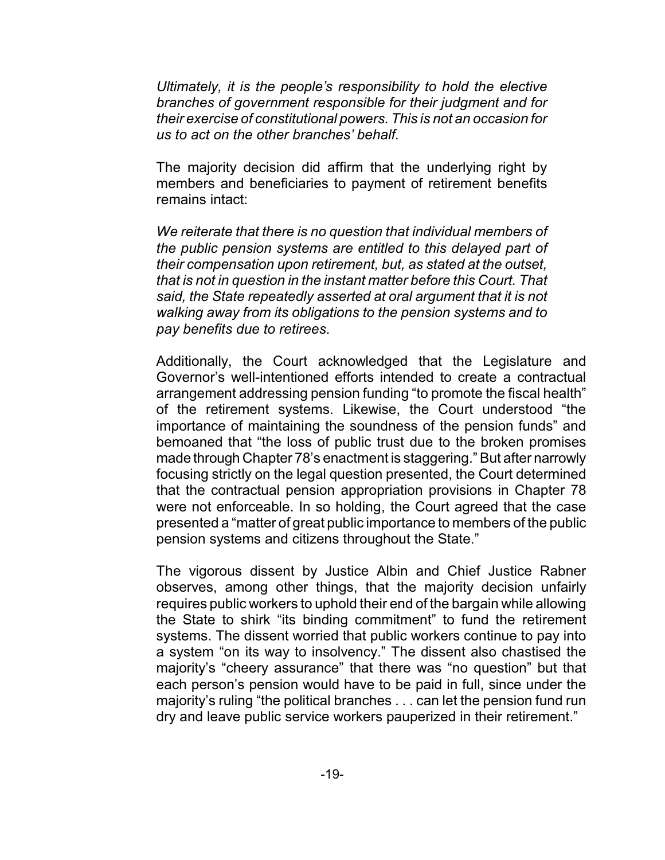*Ultimately, it is the people's responsibility to hold the elective branches of government responsible for their judgment and for their exercise of constitutional powers. This is not an occasion for us to act on the other branches' behalf.*

The majority decision did affirm that the underlying right by members and beneficiaries to payment of retirement benefits remains intact:

*We reiterate that there is no question that individual members of the public pension systems are entitled to this delayed part of their compensation upon retirement, but, as stated at the outset, that is not in question in the instant matter before this Court. That said, the State repeatedly asserted at oral argument that it is not walking away from its obligations to the pension systems and to pay benefits due to retirees*.

Additionally, the Court acknowledged that the Legislature and Governor's well-intentioned efforts intended to create a contractual arrangement addressing pension funding "to promote the fiscal health" of the retirement systems. Likewise, the Court understood "the importance of maintaining the soundness of the pension funds" and bemoaned that "the loss of public trust due to the broken promises made through Chapter 78's enactment is staggering." But after narrowly focusing strictly on the legal question presented, the Court determined that the contractual pension appropriation provisions in Chapter 78 were not enforceable. In so holding, the Court agreed that the case presented a "matter of great public importance to members of the public pension systems and citizens throughout the State."

The vigorous dissent by Justice Albin and Chief Justice Rabner observes, among other things, that the majority decision unfairly requires public workers to uphold their end of the bargain while allowing the State to shirk "its binding commitment" to fund the retirement systems. The dissent worried that public workers continue to pay into a system "on its way to insolvency." The dissent also chastised the majority's "cheery assurance" that there was "no question" but that each person's pension would have to be paid in full, since under the majority's ruling "the political branches . . . can let the pension fund run dry and leave public service workers pauperized in their retirement."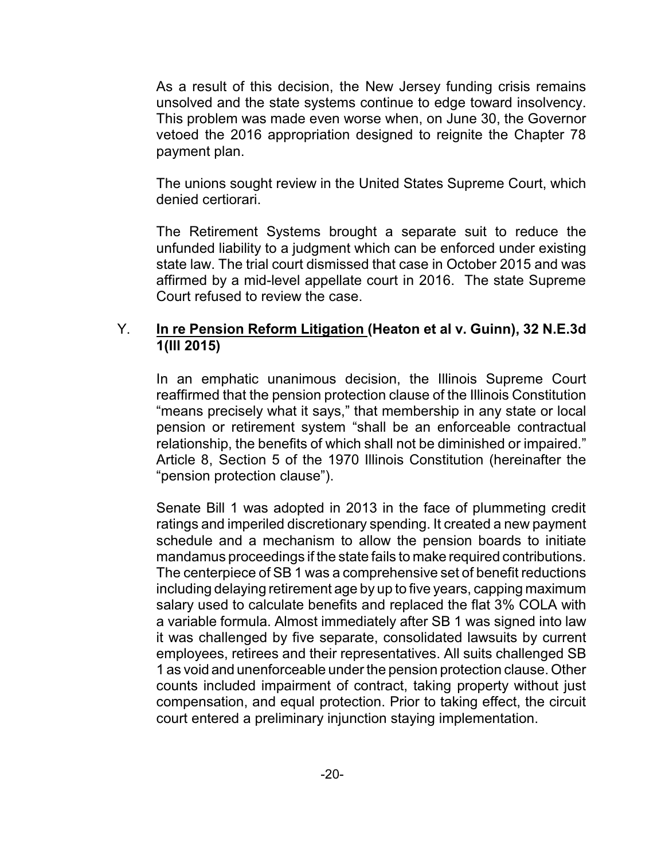As a result of this decision, the New Jersey funding crisis remains unsolved and the state systems continue to edge toward insolvency. This problem was made even worse when, on June 30, the Governor vetoed the 2016 appropriation designed to reignite the Chapter 78 payment plan.

The unions sought review in the United States Supreme Court, which denied certiorari.

The Retirement Systems brought a separate suit to reduce the unfunded liability to a judgment which can be enforced under existing state law. The trial court dismissed that case in October 2015 and was affirmed by a mid-level appellate court in 2016. The state Supreme Court refused to review the case.

#### Y. **In re Pension Reform Litigation (Heaton et al v. Guinn), 32 N.E.3d 1(Ill 2015)**

In an emphatic unanimous decision, the Illinois Supreme Court reaffirmed that the pension protection clause of the Illinois Constitution "means precisely what it says," that membership in any state or local pension or retirement system "shall be an enforceable contractual relationship, the benefits of which shall not be diminished or impaired." Article 8, Section 5 of the 1970 Illinois Constitution (hereinafter the "pension protection clause").

Senate Bill 1 was adopted in 2013 in the face of plummeting credit ratings and imperiled discretionary spending. It created a new payment schedule and a mechanism to allow the pension boards to initiate mandamus proceedings if the state fails to make required contributions. The centerpiece of SB 1 was a comprehensive set of benefit reductions including delaying retirement age by up to five years, capping maximum salary used to calculate benefits and replaced the flat 3% COLA with a variable formula. Almost immediately after SB 1 was signed into law it was challenged by five separate, consolidated lawsuits by current employees, retirees and their representatives. All suits challenged SB 1 as void and unenforceable under the pension protection clause. Other counts included impairment of contract, taking property without just compensation, and equal protection. Prior to taking effect, the circuit court entered a preliminary injunction staying implementation.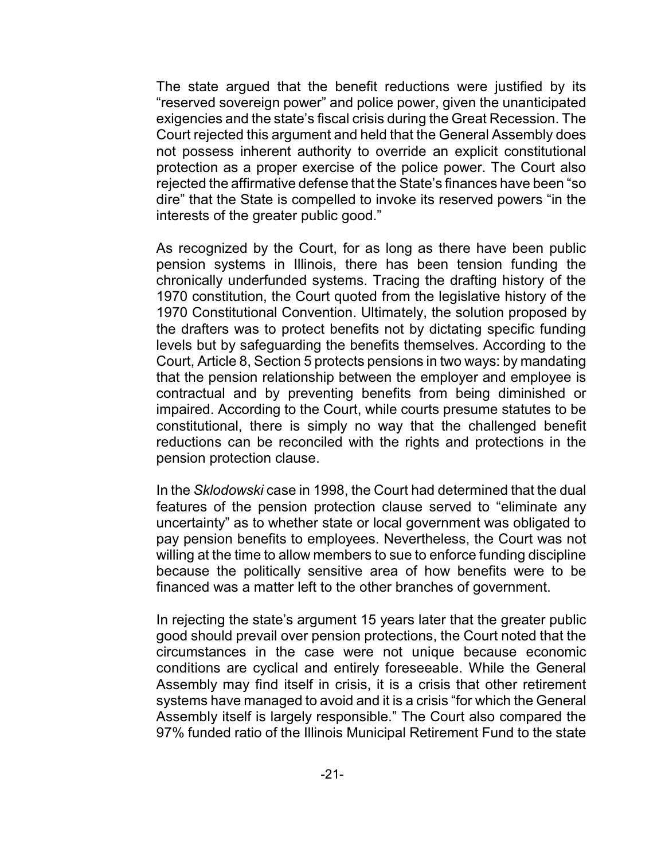The state argued that the benefit reductions were justified by its "reserved sovereign power" and police power, given the unanticipated exigencies and the state's fiscal crisis during the Great Recession. The Court rejected this argument and held that the General Assembly does not possess inherent authority to override an explicit constitutional protection as a proper exercise of the police power. The Court also rejected the affirmative defense that the State's finances have been "so dire" that the State is compelled to invoke its reserved powers "in the interests of the greater public good."

As recognized by the Court, for as long as there have been public pension systems in Illinois, there has been tension funding the chronically underfunded systems. Tracing the drafting history of the 1970 constitution, the Court quoted from the legislative history of the 1970 Constitutional Convention. Ultimately, the solution proposed by the drafters was to protect benefits not by dictating specific funding levels but by safeguarding the benefits themselves. According to the Court, Article 8, Section 5 protects pensions in two ways: by mandating that the pension relationship between the employer and employee is contractual and by preventing benefits from being diminished or impaired. According to the Court, while courts presume statutes to be constitutional, there is simply no way that the challenged benefit reductions can be reconciled with the rights and protections in the pension protection clause.

In the *Sklodowski* case in 1998, the Court had determined that the dual features of the pension protection clause served to "eliminate any uncertainty" as to whether state or local government was obligated to pay pension benefits to employees. Nevertheless, the Court was not willing at the time to allow members to sue to enforce funding discipline because the politically sensitive area of how benefits were to be financed was a matter left to the other branches of government.

In rejecting the state's argument 15 years later that the greater public good should prevail over pension protections, the Court noted that the circumstances in the case were not unique because economic conditions are cyclical and entirely foreseeable. While the General Assembly may find itself in crisis, it is a crisis that other retirement systems have managed to avoid and it is a crisis "for which the General Assembly itself is largely responsible." The Court also compared the 97% funded ratio of the Illinois Municipal Retirement Fund to the state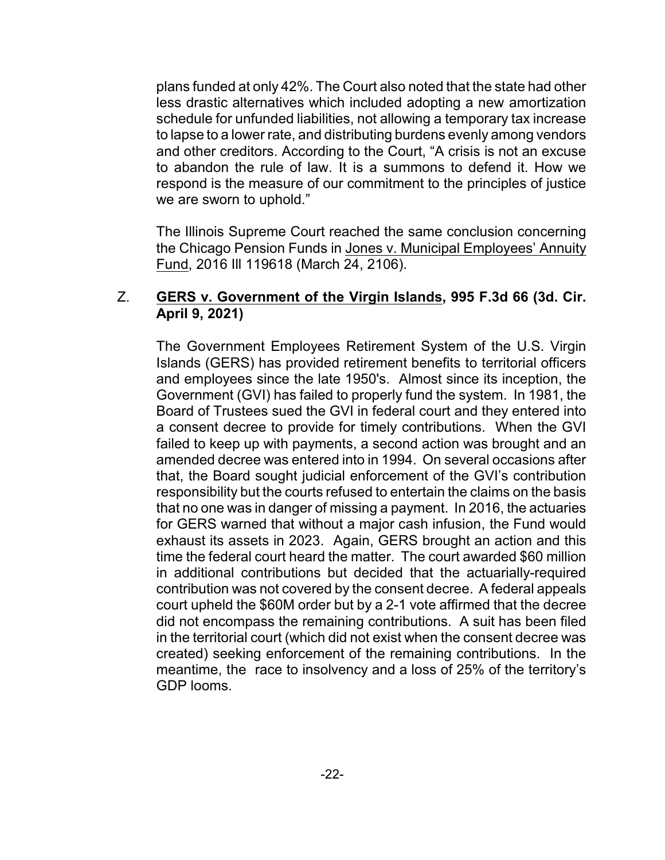plans funded at only 42%. The Court also noted that the state had other less drastic alternatives which included adopting a new amortization schedule for unfunded liabilities, not allowing a temporary tax increase to lapse to a lower rate, and distributing burdens evenly among vendors and other creditors. According to the Court, "A crisis is not an excuse to abandon the rule of law. It is a summons to defend it. How we respond is the measure of our commitment to the principles of justice we are sworn to uphold."

The Illinois Supreme Court reached the same conclusion concerning the Chicago Pension Funds in Jones v. Municipal Employees' Annuity Fund, 2016 Ill 119618 (March 24, 2106).

#### Z. **GERS v. Government of the Virgin Islands, 995 F.3d 66 (3d. Cir. April 9, 2021)**

The Government Employees Retirement System of the U.S. Virgin Islands (GERS) has provided retirement benefits to territorial officers and employees since the late 1950's. Almost since its inception, the Government (GVI) has failed to properly fund the system. In 1981, the Board of Trustees sued the GVI in federal court and they entered into a consent decree to provide for timely contributions. When the GVI failed to keep up with payments, a second action was brought and an amended decree was entered into in 1994. On several occasions after that, the Board sought judicial enforcement of the GVI's contribution responsibility but the courts refused to entertain the claims on the basis that no one was in danger of missing a payment. In 2016, the actuaries for GERS warned that without a major cash infusion, the Fund would exhaust its assets in 2023. Again, GERS brought an action and this time the federal court heard the matter. The court awarded \$60 million in additional contributions but decided that the actuarially-required contribution was not covered by the consent decree. A federal appeals court upheld the \$60M order but by a 2-1 vote affirmed that the decree did not encompass the remaining contributions. A suit has been filed in the territorial court (which did not exist when the consent decree was created) seeking enforcement of the remaining contributions. In the meantime, the race to insolvency and a loss of 25% of the territory's GDP looms.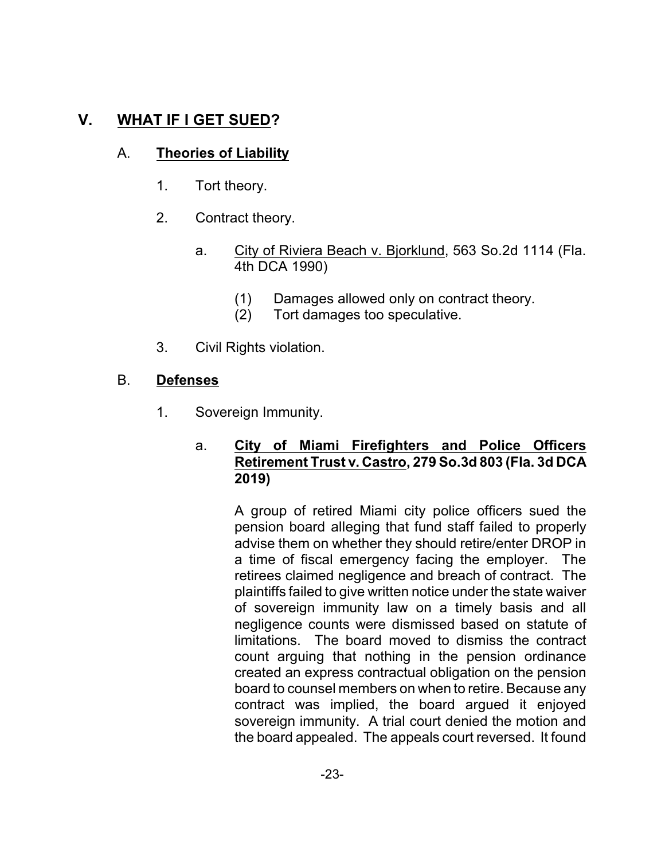## **V. WHAT IF I GET SUED?**

#### A. **Theories of Liability**

- 1. Tort theory.
- 2. Contract theory.
	- a. City of Riviera Beach v. Bjorklund, 563 So.2d 1114 (Fla. 4th DCA 1990)
		- (1) Damages allowed only on contract theory.
		- (2) Tort damages too speculative.
- 3. Civil Rights violation.

#### B. **Defenses**

1. Sovereign Immunity.

#### a. **City of Miami Firefighters and Police Officers Retirement Trust v. Castro, 279 So.3d 803 (Fla. 3d DCA 2019)**

A group of retired Miami city police officers sued the pension board alleging that fund staff failed to properly advise them on whether they should retire/enter DROP in a time of fiscal emergency facing the employer. The retirees claimed negligence and breach of contract. The plaintiffs failed to give written notice under the state waiver of sovereign immunity law on a timely basis and all negligence counts were dismissed based on statute of limitations. The board moved to dismiss the contract count arguing that nothing in the pension ordinance created an express contractual obligation on the pension board to counsel members on when to retire. Because any contract was implied, the board argued it enjoyed sovereign immunity. A trial court denied the motion and the board appealed. The appeals court reversed. It found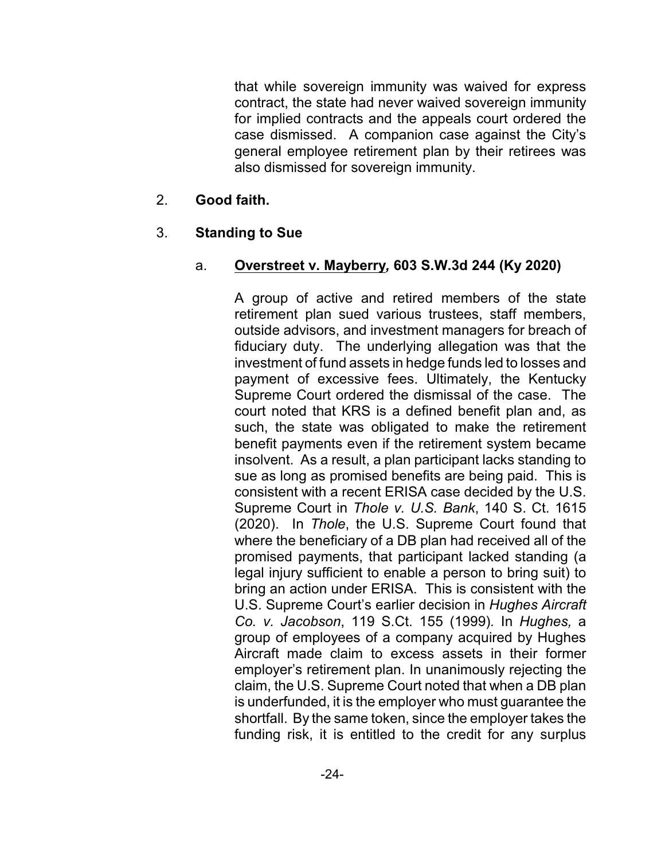that while sovereign immunity was waived for express contract, the state had never waived sovereign immunity for implied contracts and the appeals court ordered the case dismissed. A companion case against the City's general employee retirement plan by their retirees was also dismissed for sovereign immunity.

#### 2. **Good faith.**

#### 3. **Standing to Sue**

#### a. **Overstreet v. Mayberry***,* **603 S.W.3d 244 (Ky 2020)**

A group of active and retired members of the state retirement plan sued various trustees, staff members, outside advisors, and investment managers for breach of fiduciary duty. The underlying allegation was that the investment of fund assets in hedge funds led to losses and payment of excessive fees. Ultimately, the Kentucky Supreme Court ordered the dismissal of the case. The court noted that KRS is a defined benefit plan and, as such, the state was obligated to make the retirement benefit payments even if the retirement system became insolvent. As a result, a plan participant lacks standing to sue as long as promised benefits are being paid. This is consistent with a recent ERISA case decided by the U.S. Supreme Court in *Thole v. U.S. Bank*, 140 S. Ct. 1615 (2020). In *Thole*, the U.S. Supreme Court found that where the beneficiary of a DB plan had received all of the promised payments, that participant lacked standing (a legal injury sufficient to enable a person to bring suit) to bring an action under ERISA. This is consistent with the U.S. Supreme Court's earlier decision in *Hughes Aircraft Co. v. Jacobson*, 119 S.Ct. 155 (1999)*.* In *Hughes,* a group of employees of a company acquired by Hughes Aircraft made claim to excess assets in their former employer's retirement plan. In unanimously rejecting the claim, the U.S. Supreme Court noted that when a DB plan is underfunded, it is the employer who must guarantee the shortfall. By the same token, since the employer takes the funding risk, it is entitled to the credit for any surplus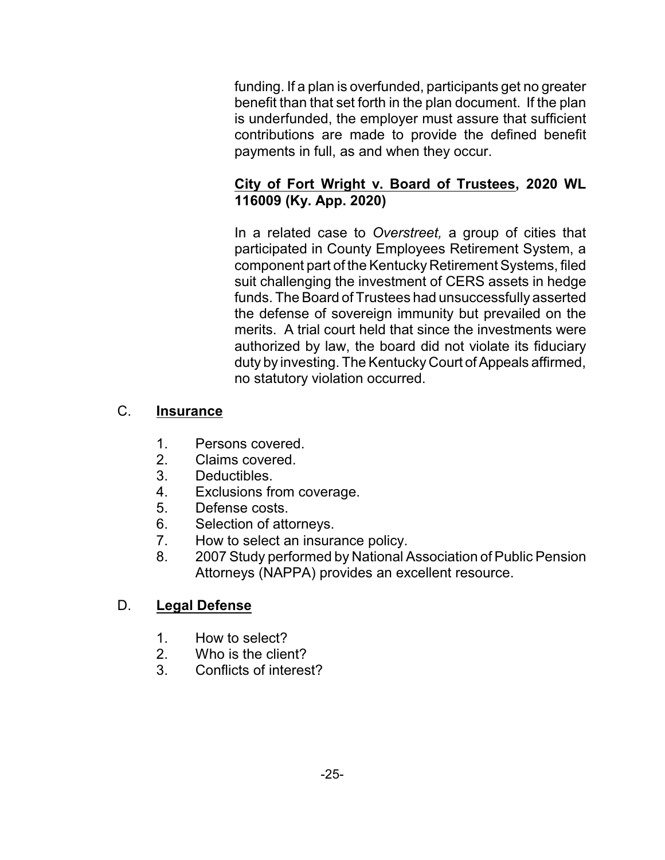funding. If a plan is overfunded, participants get no greater benefit than that set forth in the plan document. If the plan is underfunded, the employer must assure that sufficient contributions are made to provide the defined benefit payments in full, as and when they occur.

#### **City of Fort Wright v. Board of Trustees, 2020 WL 116009 (Ky. App. 2020)**

In a related case to *Overstreet,* a group of cities that participated in County Employees Retirement System, a component part of the Kentucky Retirement Systems, filed suit challenging the investment of CERS assets in hedge funds. The Board of Trustees had unsuccessfully asserted the defense of sovereign immunity but prevailed on the merits. A trial court held that since the investments were authorized by law, the board did not violate its fiduciary duty by investing. The Kentucky Court of Appeals affirmed, no statutory violation occurred.

#### C. **Insurance**

- 1. Persons covered.<br>2. Claims covered.
- Claims covered.
- 3. Deductibles.
- 4. Exclusions from coverage.
- 5. Defense costs.
- 6. Selection of attorneys.
- 7. How to select an insurance policy.
- 8. 2007 Study performed by National Association of Public Pension Attorneys (NAPPA) provides an excellent resource.

## D. **Legal Defense**

- 1. How to select?
- 2. Who is the client?
- 3. Conflicts of interest?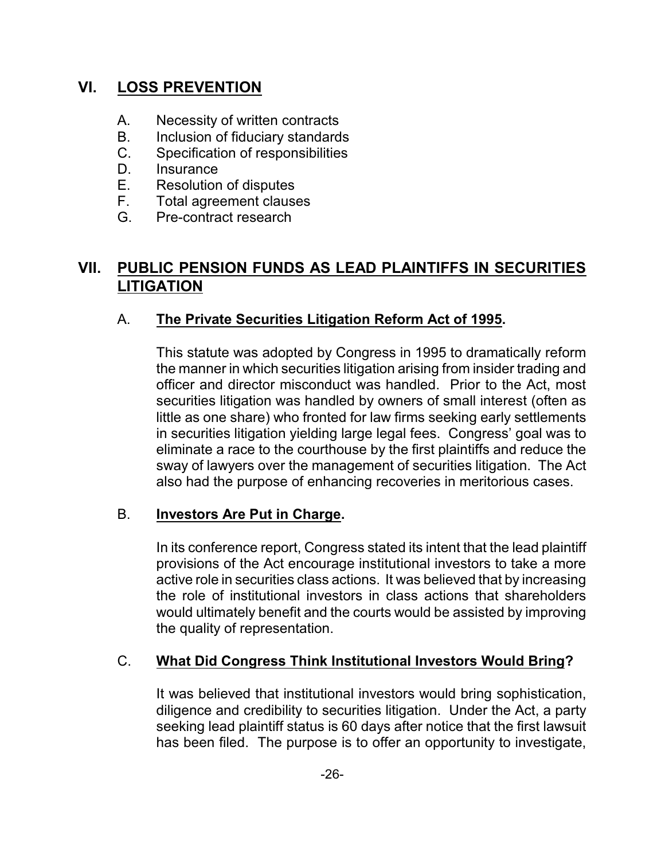## **VI. LOSS PREVENTION**

- A. Necessity of written contracts
- B. Inclusion of fiduciary standards
- C. Specification of responsibilities
- D. Insurance
- E. Resolution of disputes<br>F. Total agreement clause
- Total agreement clauses
- G. Pre-contract research

## **VII. PUBLIC PENSION FUNDS AS LEAD PLAINTIFFS IN SECURITIES LITIGATION**

#### A. **The Private Securities Litigation Reform Act of 1995.**

This statute was adopted by Congress in 1995 to dramatically reform the manner in which securities litigation arising from insider trading and officer and director misconduct was handled. Prior to the Act, most securities litigation was handled by owners of small interest (often as little as one share) who fronted for law firms seeking early settlements in securities litigation yielding large legal fees. Congress' goal was to eliminate a race to the courthouse by the first plaintiffs and reduce the sway of lawyers over the management of securities litigation. The Act also had the purpose of enhancing recoveries in meritorious cases.

#### B. **Investors Are Put in Charge.**

In its conference report, Congress stated its intent that the lead plaintiff provisions of the Act encourage institutional investors to take a more active role in securities class actions. It was believed that by increasing the role of institutional investors in class actions that shareholders would ultimately benefit and the courts would be assisted by improving the quality of representation.

#### C. **What Did Congress Think Institutional Investors Would Bring?**

It was believed that institutional investors would bring sophistication, diligence and credibility to securities litigation. Under the Act, a party seeking lead plaintiff status is 60 days after notice that the first lawsuit has been filed. The purpose is to offer an opportunity to investigate,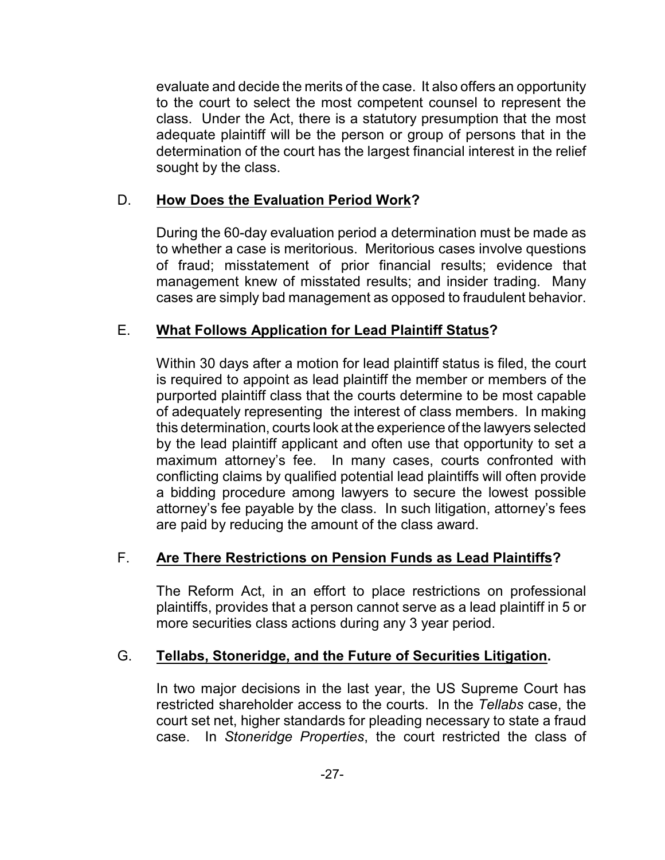evaluate and decide the merits of the case. It also offers an opportunity to the court to select the most competent counsel to represent the class. Under the Act, there is a statutory presumption that the most adequate plaintiff will be the person or group of persons that in the determination of the court has the largest financial interest in the relief sought by the class.

#### D. **How Does the Evaluation Period Work?**

During the 60-day evaluation period a determination must be made as to whether a case is meritorious. Meritorious cases involve questions of fraud; misstatement of prior financial results; evidence that management knew of misstated results; and insider trading. Many cases are simply bad management as opposed to fraudulent behavior.

#### E. **What Follows Application for Lead Plaintiff Status?**

Within 30 days after a motion for lead plaintiff status is filed, the court is required to appoint as lead plaintiff the member or members of the purported plaintiff class that the courts determine to be most capable of adequately representing the interest of class members. In making this determination, courts look at the experience of the lawyers selected by the lead plaintiff applicant and often use that opportunity to set a maximum attorney's fee. In many cases, courts confronted with conflicting claims by qualified potential lead plaintiffs will often provide a bidding procedure among lawyers to secure the lowest possible attorney's fee payable by the class. In such litigation, attorney's fees are paid by reducing the amount of the class award.

## F. **Are There Restrictions on Pension Funds as Lead Plaintiffs?**

The Reform Act, in an effort to place restrictions on professional plaintiffs, provides that a person cannot serve as a lead plaintiff in 5 or more securities class actions during any 3 year period.

#### G. **Tellabs, Stoneridge, and the Future of Securities Litigation.**

In two major decisions in the last year, the US Supreme Court has restricted shareholder access to the courts. In the *Tellabs* case, the court set net, higher standards for pleading necessary to state a fraud case. In *Stoneridge Properties*, the court restricted the class of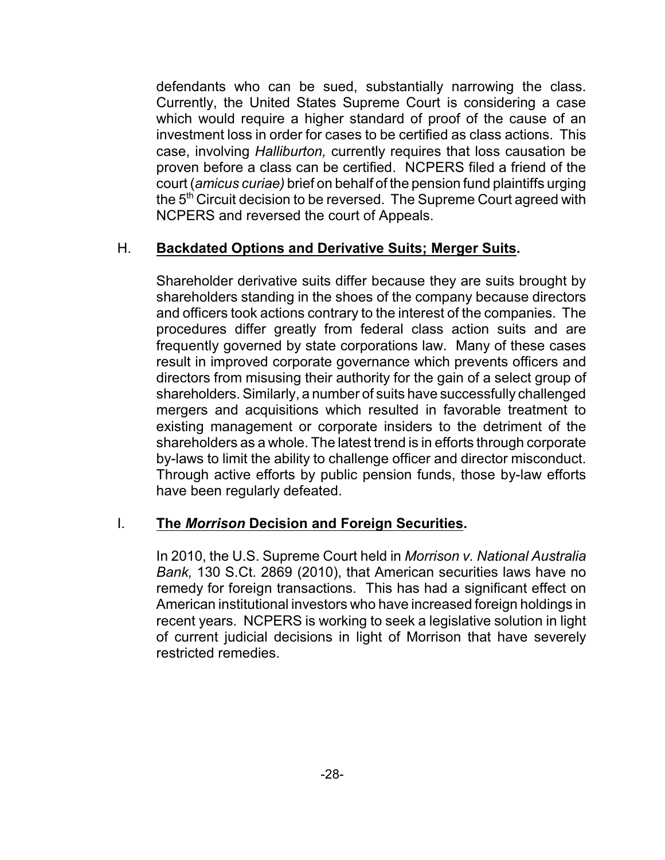defendants who can be sued, substantially narrowing the class. Currently, the United States Supreme Court is considering a case which would require a higher standard of proof of the cause of an investment loss in order for cases to be certified as class actions. This case, involving *Halliburton,* currently requires that loss causation be proven before a class can be certified. NCPERS filed a friend of the court (*amicus curiae)* brief on behalf of the pension fund plaintiffs urging the 5<sup>th</sup> Circuit decision to be reversed. The Supreme Court agreed with NCPERS and reversed the court of Appeals.

#### H. **Backdated Options and Derivative Suits; Merger Suits.**

Shareholder derivative suits differ because they are suits brought by shareholders standing in the shoes of the company because directors and officers took actions contrary to the interest of the companies. The procedures differ greatly from federal class action suits and are frequently governed by state corporations law. Many of these cases result in improved corporate governance which prevents officers and directors from misusing their authority for the gain of a select group of shareholders. Similarly, a number of suits have successfully challenged mergers and acquisitions which resulted in favorable treatment to existing management or corporate insiders to the detriment of the shareholders as a whole. The latest trend is in efforts through corporate by-laws to limit the ability to challenge officer and director misconduct. Through active efforts by public pension funds, those by-law efforts have been regularly defeated.

#### I. **The** *Morrison* **Decision and Foreign Securities.**

In 2010, the U.S. Supreme Court held in *Morrison v. National Australia Bank,* 130 S.Ct. 2869 (2010), that American securities laws have no remedy for foreign transactions. This has had a significant effect on American institutional investors who have increased foreign holdings in recent years. NCPERS is working to seek a legislative solution in light of current judicial decisions in light of Morrison that have severely restricted remedies.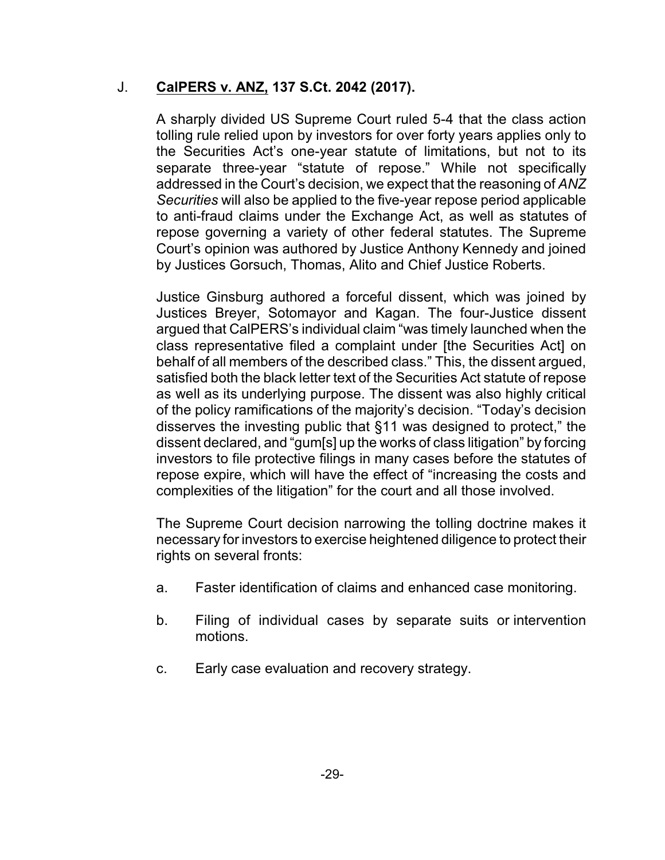#### J. **CalPERS v. ANZ, 137 S.Ct. 2042 (2017).**

A sharply divided US Supreme Court ruled 5-4 that the class action tolling rule relied upon by investors for over forty years applies only to the Securities Act's one-year statute of limitations, but not to its separate three-year "statute of repose." While not specifically addressed in the Court's decision, we expect that the reasoning of *ANZ Securities* will also be applied to the five-year repose period applicable to anti-fraud claims under the Exchange Act, as well as statutes of repose governing a variety of other federal statutes. The Supreme Court's opinion was authored by Justice Anthony Kennedy and joined by Justices Gorsuch, Thomas, Alito and Chief Justice Roberts.

Justice Ginsburg authored a forceful dissent, which was joined by Justices Breyer, Sotomayor and Kagan. The four-Justice dissent argued that CalPERS's individual claim "was timely launched when the class representative filed a complaint under [the Securities Act] on behalf of all members of the described class." This, the dissent argued, satisfied both the black letter text of the Securities Act statute of repose as well as its underlying purpose. The dissent was also highly critical of the policy ramifications of the majority's decision. "Today's decision disserves the investing public that §11 was designed to protect," the dissent declared, and "gum[s] up the works of class litigation" by forcing investors to file protective filings in many cases before the statutes of repose expire, which will have the effect of "increasing the costs and complexities of the litigation" for the court and all those involved.

The Supreme Court decision narrowing the tolling doctrine makes it necessary for investors to exercise heightened diligence to protect their rights on several fronts:

- a. Faster identification of claims and enhanced case monitoring.
- b. Filing of individual cases by separate suits or intervention motions.
- c. Early case evaluation and recovery strategy.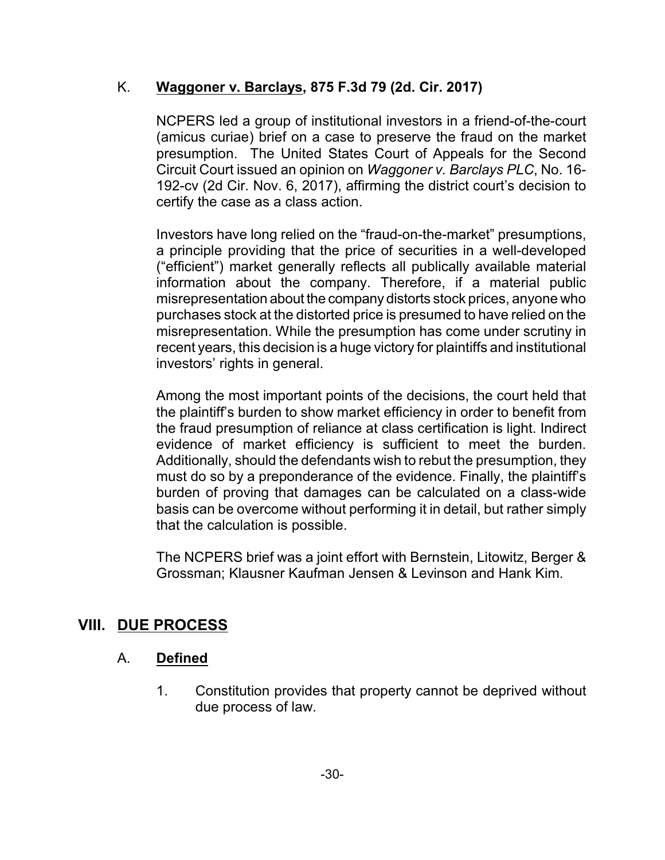#### K. **Waggoner v. Barclays, 875 F.3d 79 (2d. Cir. 2017)**

NCPERS led a group of institutional investors in a friend-of-the-court (amicus curiae) brief on a case to preserve the fraud on the market presumption. The United States Court of Appeals for the Second Circuit Court issued an opinion on *Waggoner v. Barclays PLC*, No. 16- 192-cv (2d Cir. Nov. 6, 2017), affirming the district court's decision to certify the case as a class action.

Investors have long relied on the "fraud-on-the-market" presumptions, a principle providing that the price of securities in a well-developed ("efficient") market generally reflects all publically available material information about the company. Therefore, if a material public misrepresentation about the company distorts stock prices, anyone who purchases stock at the distorted price is presumed to have relied on the misrepresentation. While the presumption has come under scrutiny in recent years, this decision is a huge victory for plaintiffs and institutional investors' rights in general.

Among the most important points of the decisions, the court held that the plaintiff's burden to show market efficiency in order to benefit from the fraud presumption of reliance at class certification is light. Indirect evidence of market efficiency is sufficient to meet the burden. Additionally, should the defendants wish to rebut the presumption, they must do so by a preponderance of the evidence. Finally, the plaintiff's burden of proving that damages can be calculated on a class-wide basis can be overcome without performing it in detail, but rather simply that the calculation is possible.

The NCPERS brief was a joint effort with Bernstein, Litowitz, Berger & Grossman; Klausner Kaufman Jensen & Levinson and Hank Kim.

## **VIII. DUE PROCESS**

#### A. **Defined**

1. Constitution provides that property cannot be deprived without due process of law.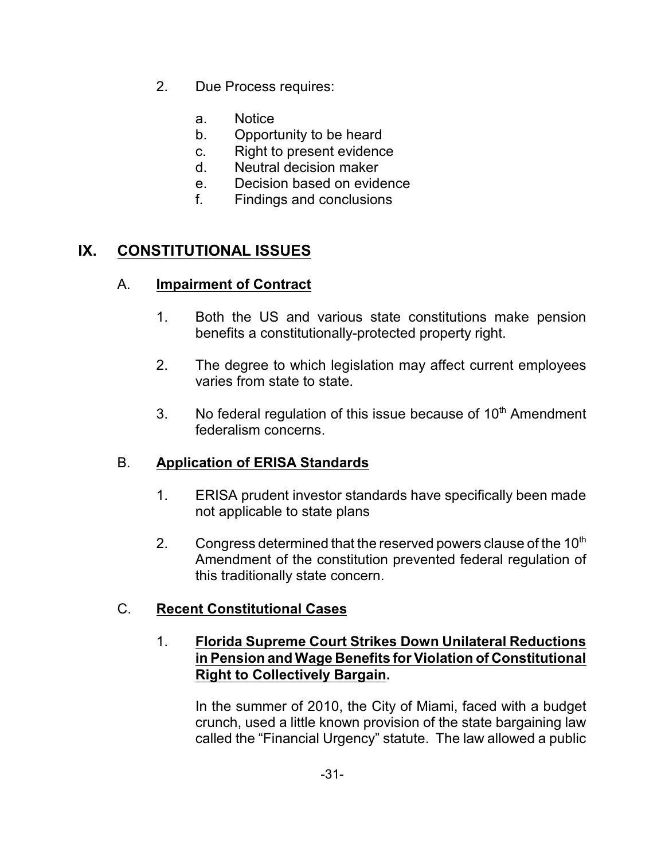- 2. Due Process requires:
	- a. Notice
	- b. Opportunity to be heard
	- c. Right to present evidence
	- d. Neutral decision maker
	- e. Decision based on evidence
	- f. Findings and conclusions

#### **IX. CONSTITUTIONAL ISSUES**

#### A. **Impairment of Contract**

- 1. Both the US and various state constitutions make pension benefits a constitutionally-protected property right.
- 2. The degree to which legislation may affect current employees varies from state to state.
- 3. No federal regulation of this issue because of  $10<sup>th</sup>$  Amendment federalism concerns.

## B. **Application of ERISA Standards**

- 1. ERISA prudent investor standards have specifically been made not applicable to state plans
- 2. Congress determined that the reserved powers clause of the 10<sup>th</sup> Amendment of the constitution prevented federal regulation of this traditionally state concern.

## C. **Recent Constitutional Cases**

#### 1. **Florida Supreme Court Strikes Down Unilateral Reductions in Pension and Wage Benefits for Violation of Constitutional Right to Collectively Bargain.**

In the summer of 2010, the City of Miami, faced with a budget crunch, used a little known provision of the state bargaining law called the "Financial Urgency" statute. The law allowed a public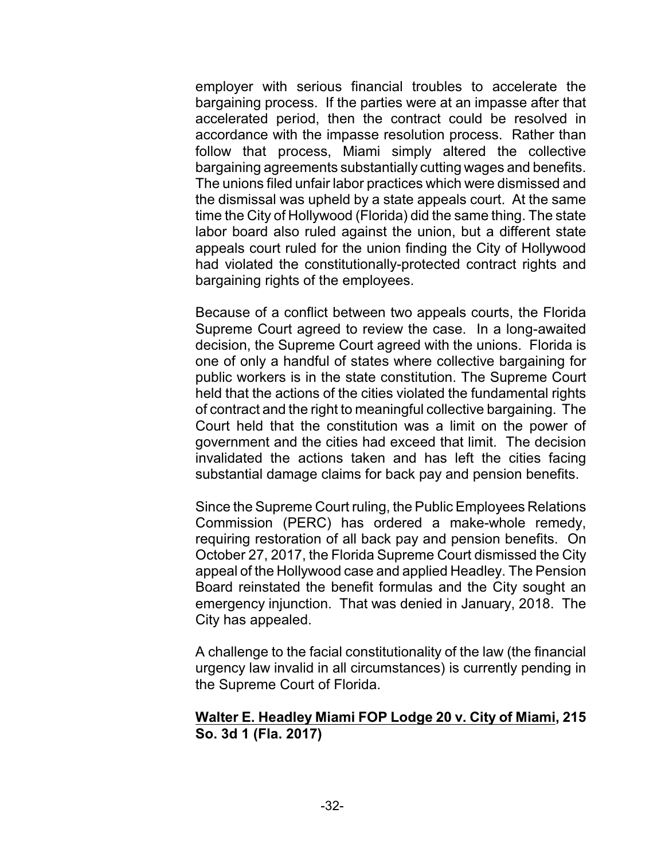employer with serious financial troubles to accelerate the bargaining process. If the parties were at an impasse after that accelerated period, then the contract could be resolved in accordance with the impasse resolution process. Rather than follow that process, Miami simply altered the collective bargaining agreements substantially cutting wages and benefits. The unions filed unfair labor practices which were dismissed and the dismissal was upheld by a state appeals court. At the same time the City of Hollywood (Florida) did the same thing. The state labor board also ruled against the union, but a different state appeals court ruled for the union finding the City of Hollywood had violated the constitutionally-protected contract rights and bargaining rights of the employees.

Because of a conflict between two appeals courts, the Florida Supreme Court agreed to review the case. In a long-awaited decision, the Supreme Court agreed with the unions. Florida is one of only a handful of states where collective bargaining for public workers is in the state constitution. The Supreme Court held that the actions of the cities violated the fundamental rights of contract and the right to meaningful collective bargaining. The Court held that the constitution was a limit on the power of government and the cities had exceed that limit. The decision invalidated the actions taken and has left the cities facing substantial damage claims for back pay and pension benefits.

Since the Supreme Court ruling, the Public Employees Relations Commission (PERC) has ordered a make-whole remedy, requiring restoration of all back pay and pension benefits. On October 27, 2017, the Florida Supreme Court dismissed the City appeal of the Hollywood case and applied Headley. The Pension Board reinstated the benefit formulas and the City sought an emergency injunction. That was denied in January, 2018. The City has appealed.

A challenge to the facial constitutionality of the law (the financial urgency law invalid in all circumstances) is currently pending in the Supreme Court of Florida.

#### **Walter E. Headley Miami FOP Lodge 20 v. City of Miami, 215 So. 3d 1 (Fla. 2017)**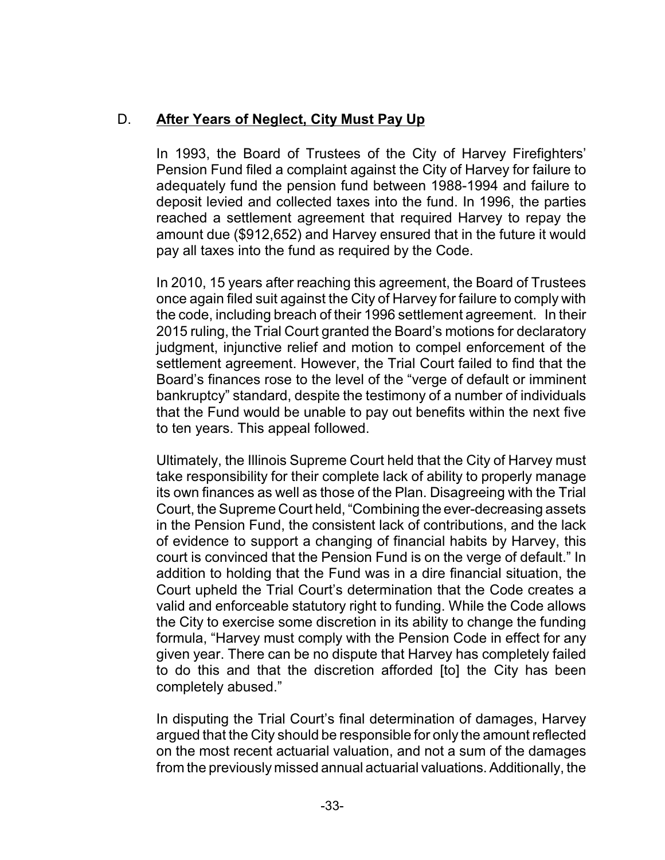## D. **After Years of Neglect, City Must Pay Up**

In 1993, the Board of Trustees of the City of Harvey Firefighters' Pension Fund filed a complaint against the City of Harvey for failure to adequately fund the pension fund between 1988-1994 and failure to deposit levied and collected taxes into the fund. In 1996, the parties reached a settlement agreement that required Harvey to repay the amount due (\$912,652) and Harvey ensured that in the future it would pay all taxes into the fund as required by the Code.

In 2010, 15 years after reaching this agreement, the Board of Trustees once again filed suit against the City of Harvey for failure to comply with the code, including breach of their 1996 settlement agreement. In their 2015 ruling, the Trial Court granted the Board's motions for declaratory judgment, injunctive relief and motion to compel enforcement of the settlement agreement. However, the Trial Court failed to find that the Board's finances rose to the level of the "verge of default or imminent bankruptcy" standard, despite the testimony of a number of individuals that the Fund would be unable to pay out benefits within the next five to ten years. This appeal followed.

Ultimately, the Illinois Supreme Court held that the City of Harvey must take responsibility for their complete lack of ability to properly manage its own finances as well as those of the Plan. Disagreeing with the Trial Court, the Supreme Court held, "Combining the ever-decreasing assets in the Pension Fund, the consistent lack of contributions, and the lack of evidence to support a changing of financial habits by Harvey, this court is convinced that the Pension Fund is on the verge of default." In addition to holding that the Fund was in a dire financial situation, the Court upheld the Trial Court's determination that the Code creates a valid and enforceable statutory right to funding. While the Code allows the City to exercise some discretion in its ability to change the funding formula, "Harvey must comply with the Pension Code in effect for any given year. There can be no dispute that Harvey has completely failed to do this and that the discretion afforded [to] the City has been completely abused."

In disputing the Trial Court's final determination of damages, Harvey argued that the City should be responsible for only the amount reflected on the most recent actuarial valuation, and not a sum of the damages from the previously missed annual actuarial valuations.Additionally, the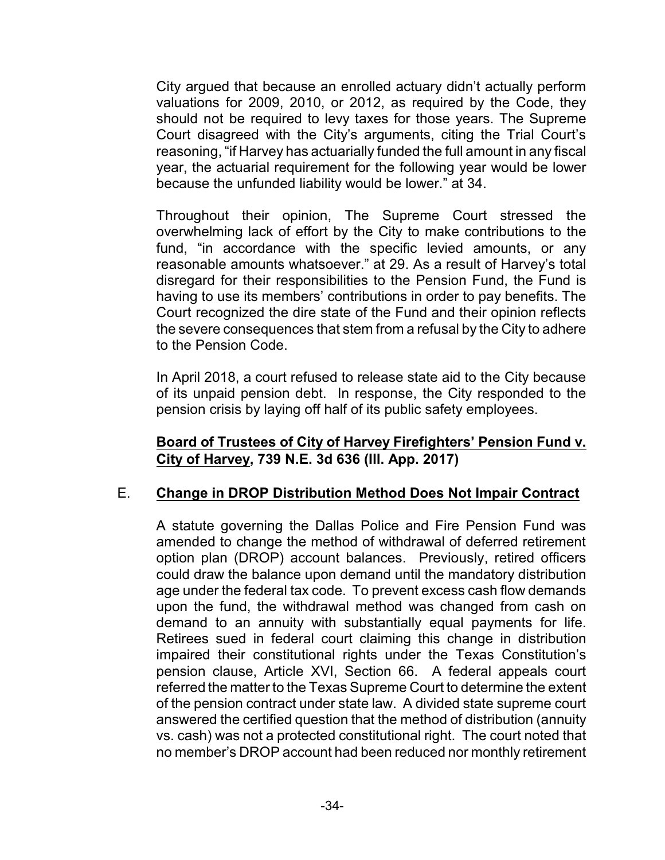City argued that because an enrolled actuary didn't actually perform valuations for 2009, 2010, or 2012, as required by the Code, they should not be required to levy taxes for those years. The Supreme Court disagreed with the City's arguments, citing the Trial Court's reasoning, "if Harvey has actuarially funded the full amount in any fiscal year, the actuarial requirement for the following year would be lower because the unfunded liability would be lower." at 34.

Throughout their opinion, The Supreme Court stressed the overwhelming lack of effort by the City to make contributions to the fund, "in accordance with the specific levied amounts, or any reasonable amounts whatsoever." at 29. As a result of Harvey's total disregard for their responsibilities to the Pension Fund, the Fund is having to use its members' contributions in order to pay benefits. The Court recognized the dire state of the Fund and their opinion reflects the severe consequences that stem from a refusal by the City to adhere to the Pension Code.

In April 2018, a court refused to release state aid to the City because of its unpaid pension debt. In response, the City responded to the pension crisis by laying off half of its public safety employees.

#### **Board of Trustees of City of Harvey Firefighters' Pension Fund v. City of Harvey, 739 N.E. 3d 636 (Ill. App. 2017)**

#### E. **Change in DROP Distribution Method Does Not Impair Contract**

A statute governing the Dallas Police and Fire Pension Fund was amended to change the method of withdrawal of deferred retirement option plan (DROP) account balances. Previously, retired officers could draw the balance upon demand until the mandatory distribution age under the federal tax code. To prevent excess cash flow demands upon the fund, the withdrawal method was changed from cash on demand to an annuity with substantially equal payments for life. Retirees sued in federal court claiming this change in distribution impaired their constitutional rights under the Texas Constitution's pension clause, Article XVI, Section 66. A federal appeals court referred the matter to the Texas Supreme Court to determine the extent of the pension contract under state law. A divided state supreme court answered the certified question that the method of distribution (annuity vs. cash) was not a protected constitutional right. The court noted that no member's DROP account had been reduced nor monthly retirement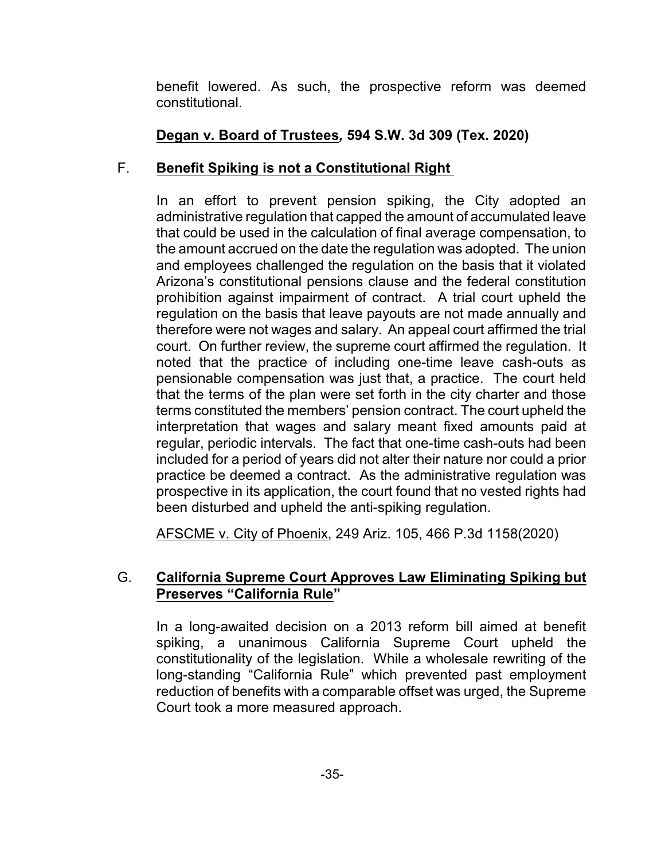benefit lowered. As such, the prospective reform was deemed constitutional.

## **Degan v. Board of Trustees***,* **594 S.W. 3d 309 (Tex. 2020)**

## F. **Benefit Spiking is not a Constitutional Right**

In an effort to prevent pension spiking, the City adopted an administrative regulation that capped the amount of accumulated leave that could be used in the calculation of final average compensation, to the amount accrued on the date the regulation was adopted. The union and employees challenged the regulation on the basis that it violated Arizona's constitutional pensions clause and the federal constitution prohibition against impairment of contract. A trial court upheld the regulation on the basis that leave payouts are not made annually and therefore were not wages and salary. An appeal court affirmed the trial court. On further review, the supreme court affirmed the regulation. It noted that the practice of including one-time leave cash-outs as pensionable compensation was just that, a practice. The court held that the terms of the plan were set forth in the city charter and those terms constituted the members' pension contract. The court upheld the interpretation that wages and salary meant fixed amounts paid at regular, periodic intervals. The fact that one-time cash-outs had been included for a period of years did not alter their nature nor could a prior practice be deemed a contract. As the administrative regulation was prospective in its application, the court found that no vested rights had been disturbed and upheld the anti-spiking regulation.

AFSCME v. City of Phoenix, 249 Ariz. 105, 466 P.3d 1158(2020)

## G. **California Supreme Court Approves Law Eliminating Spiking but Preserves "California Rule"**

In a long-awaited decision on a 2013 reform bill aimed at benefit spiking, a unanimous California Supreme Court upheld the constitutionality of the legislation. While a wholesale rewriting of the long-standing "California Rule" which prevented past employment reduction of benefits with a comparable offset was urged, the Supreme Court took a more measured approach.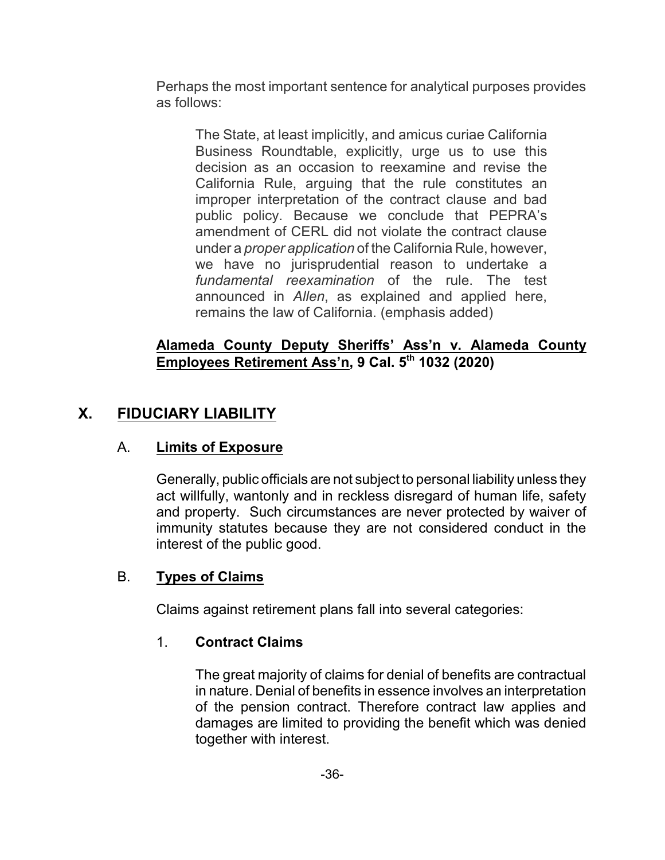Perhaps the most important sentence for analytical purposes provides as follows:

The State, at least implicitly, and amicus curiae California Business Roundtable, explicitly, urge us to use this decision as an occasion to reexamine and revise the California Rule, arguing that the rule constitutes an improper interpretation of the contract clause and bad public policy. Because we conclude that PEPRA's amendment of CERL did not violate the contract clause under a *proper application* of the California Rule, however, we have no jurisprudential reason to undertake a *fundamental reexamination* of the rule. The test announced in *Allen*, as explained and applied here, remains the law of California. (emphasis added)

#### **Alameda County Deputy Sheriffs' Ass'n v. Alameda County Employees Retirement Ass'n, 9 Cal. 5th 1032 (2020)**

## **X. FIDUCIARY LIABILITY**

## A. **Limits of Exposure**

Generally, public officials are not subject to personal liability unless they act willfully, wantonly and in reckless disregard of human life, safety and property. Such circumstances are never protected by waiver of immunity statutes because they are not considered conduct in the interest of the public good.

#### B. **Types of Claims**

Claims against retirement plans fall into several categories:

## 1. **Contract Claims**

The great majority of claims for denial of benefits are contractual in nature. Denial of benefits in essence involves an interpretation of the pension contract. Therefore contract law applies and damages are limited to providing the benefit which was denied together with interest.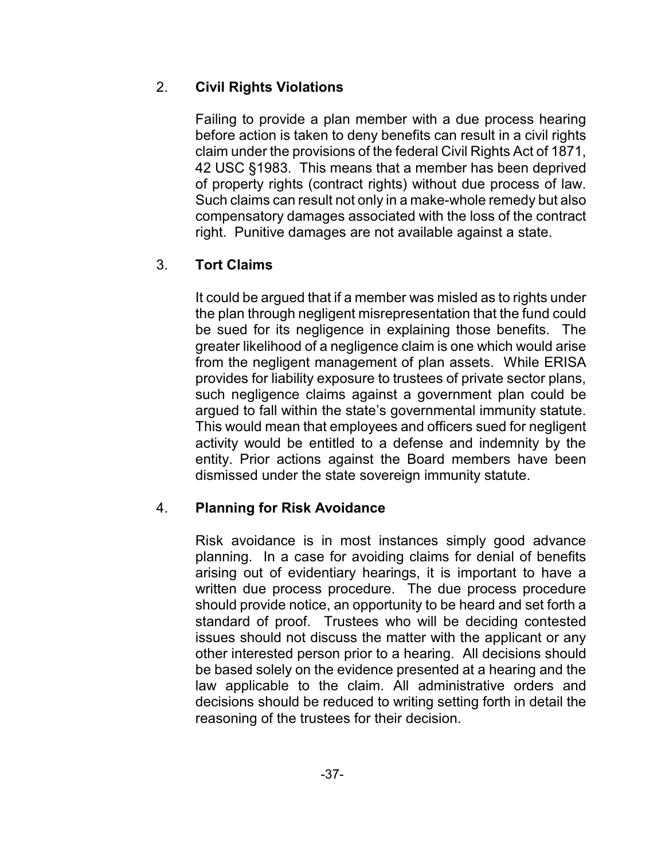## 2. **Civil Rights Violations**

Failing to provide a plan member with a due process hearing before action is taken to deny benefits can result in a civil rights claim under the provisions of the federal Civil Rights Act of 1871, 42 USC §1983. This means that a member has been deprived of property rights (contract rights) without due process of law. Such claims can result not only in a make-whole remedy but also compensatory damages associated with the loss of the contract right. Punitive damages are not available against a state.

## 3. **Tort Claims**

It could be argued that if a member was misled as to rights under the plan through negligent misrepresentation that the fund could be sued for its negligence in explaining those benefits. The greater likelihood of a negligence claim is one which would arise from the negligent management of plan assets. While ERISA provides for liability exposure to trustees of private sector plans, such negligence claims against a government plan could be argued to fall within the state's governmental immunity statute. This would mean that employees and officers sued for negligent activity would be entitled to a defense and indemnity by the entity. Prior actions against the Board members have been dismissed under the state sovereign immunity statute.

## 4. **Planning for Risk Avoidance**

Risk avoidance is in most instances simply good advance planning. In a case for avoiding claims for denial of benefits arising out of evidentiary hearings, it is important to have a written due process procedure. The due process procedure should provide notice, an opportunity to be heard and set forth a standard of proof. Trustees who will be deciding contested issues should not discuss the matter with the applicant or any other interested person prior to a hearing. All decisions should be based solely on the evidence presented at a hearing and the law applicable to the claim. All administrative orders and decisions should be reduced to writing setting forth in detail the reasoning of the trustees for their decision.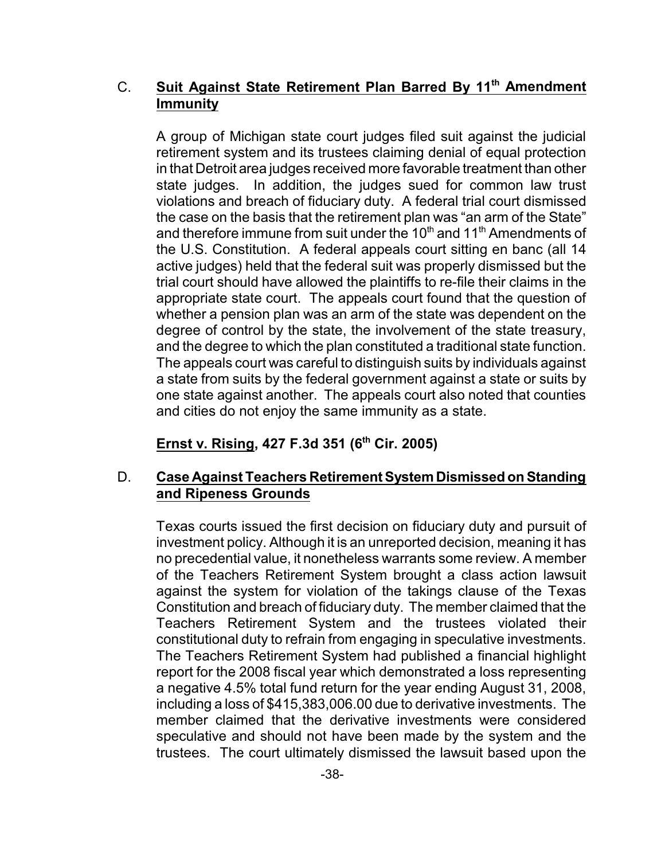#### C. **Suit Against State Retirement Plan Barred By 11th Amendment Immunity**

A group of Michigan state court judges filed suit against the judicial retirement system and its trustees claiming denial of equal protection in that Detroit area judges received more favorable treatment than other state judges. In addition, the judges sued for common law trust violations and breach of fiduciary duty. A federal trial court dismissed the case on the basis that the retirement plan was "an arm of the State" and therefore immune from suit under the 10<sup>th</sup> and 11<sup>th</sup> Amendments of the U.S. Constitution. A federal appeals court sitting en banc (all 14 active judges) held that the federal suit was properly dismissed but the trial court should have allowed the plaintiffs to re-file their claims in the appropriate state court. The appeals court found that the question of whether a pension plan was an arm of the state was dependent on the degree of control by the state, the involvement of the state treasury, and the degree to which the plan constituted a traditional state function. The appeals court was careful to distinguish suits by individuals against a state from suits by the federal government against a state or suits by one state against another. The appeals court also noted that counties and cities do not enjoy the same immunity as a state.

## **Ernst v. Rising, 427 F.3d 351 (6th Cir. 2005)**

#### D. **Case Against Teachers RetirementSystem Dismissed onStanding and Ripeness Grounds**

Texas courts issued the first decision on fiduciary duty and pursuit of investment policy. Although it is an unreported decision, meaning it has no precedential value, it nonetheless warrants some review. A member of the Teachers Retirement System brought a class action lawsuit against the system for violation of the takings clause of the Texas Constitution and breach of fiduciary duty. The member claimed that the Teachers Retirement System and the trustees violated their constitutional duty to refrain from engaging in speculative investments. The Teachers Retirement System had published a financial highlight report for the 2008 fiscal year which demonstrated a loss representing a negative 4.5% total fund return for the year ending August 31, 2008, including a loss of \$415,383,006.00 due to derivative investments. The member claimed that the derivative investments were considered speculative and should not have been made by the system and the trustees. The court ultimately dismissed the lawsuit based upon the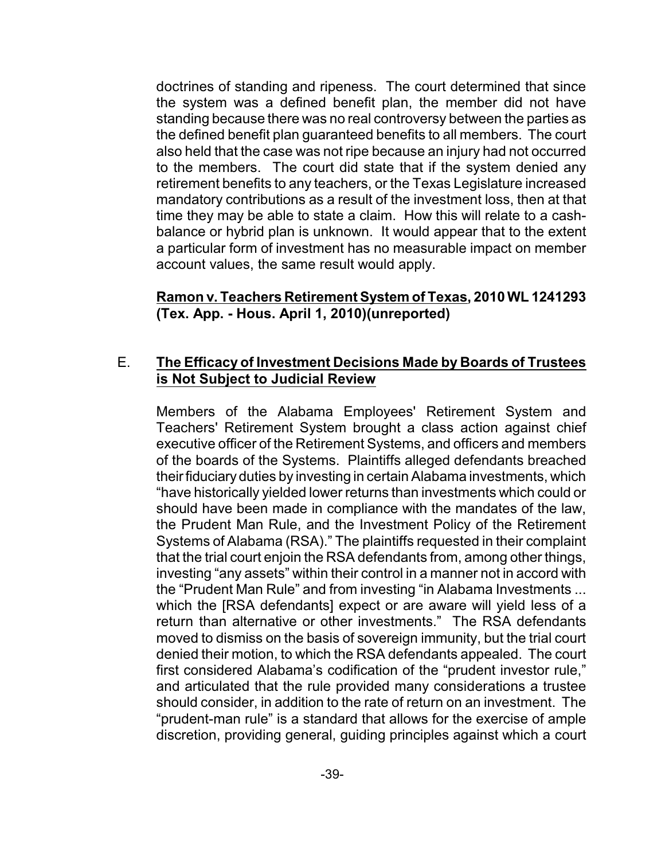doctrines of standing and ripeness. The court determined that since the system was a defined benefit plan, the member did not have standing because there was no real controversy between the parties as the defined benefit plan guaranteed benefits to all members. The court also held that the case was not ripe because an injury had not occurred to the members. The court did state that if the system denied any retirement benefits to any teachers, or the Texas Legislature increased mandatory contributions as a result of the investment loss, then at that time they may be able to state a claim. How this will relate to a cashbalance or hybrid plan is unknown. It would appear that to the extent a particular form of investment has no measurable impact on member account values, the same result would apply.

#### **Ramon v. Teachers Retirement System of Texas, 2010WL 1241293 (Tex. App. - Hous. April 1, 2010)(unreported)**

#### E. **The Efficacy of Investment Decisions Made by Boards of Trustees is Not Subject to Judicial Review**

Members of the Alabama Employees' Retirement System and Teachers' Retirement System brought a class action against chief executive officer of the Retirement Systems, and officers and members of the boards of the Systems. Plaintiffs alleged defendants breached their fiduciary duties by investing in certain Alabama investments, which "have historically yielded lower returns than investments which could or should have been made in compliance with the mandates of the law, the Prudent Man Rule, and the Investment Policy of the Retirement Systems of Alabama (RSA)." The plaintiffs requested in their complaint that the trial court enjoin the RSA defendants from, among other things, investing "any assets" within their control in a manner not in accord with the "Prudent Man Rule" and from investing "in Alabama Investments ... which the [RSA defendants] expect or are aware will yield less of a return than alternative or other investments." The RSA defendants moved to dismiss on the basis of sovereign immunity, but the trial court denied their motion, to which the RSA defendants appealed. The court first considered Alabama's codification of the "prudent investor rule," and articulated that the rule provided many considerations a trustee should consider, in addition to the rate of return on an investment. The "prudent-man rule" is a standard that allows for the exercise of ample discretion, providing general, guiding principles against which a court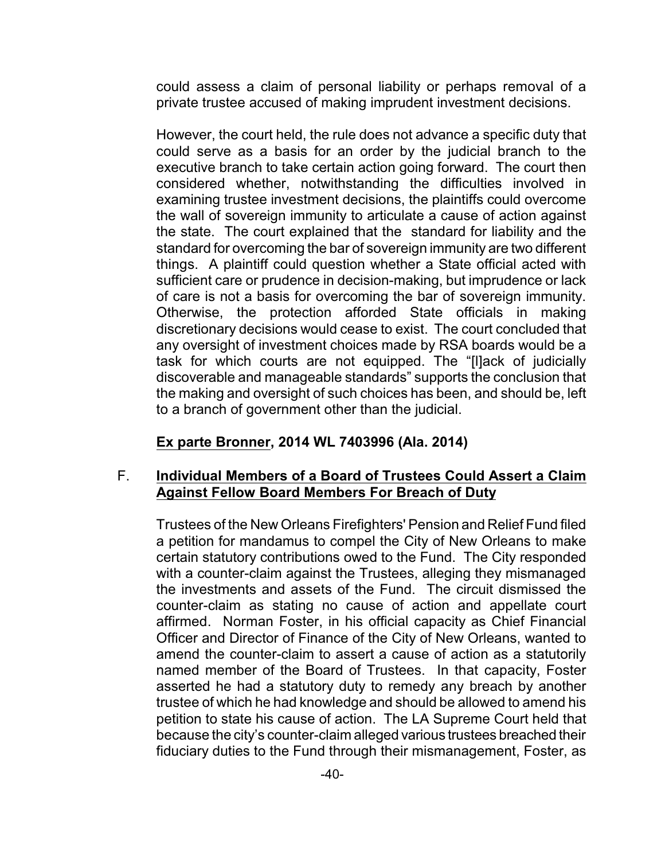could assess a claim of personal liability or perhaps removal of a private trustee accused of making imprudent investment decisions.

However, the court held, the rule does not advance a specific duty that could serve as a basis for an order by the judicial branch to the executive branch to take certain action going forward. The court then considered whether, notwithstanding the difficulties involved in examining trustee investment decisions, the plaintiffs could overcome the wall of sovereign immunity to articulate a cause of action against the state. The court explained that the standard for liability and the standard for overcoming the bar of sovereign immunity are two different things. A plaintiff could question whether a State official acted with sufficient care or prudence in decision-making, but imprudence or lack of care is not a basis for overcoming the bar of sovereign immunity. Otherwise, the protection afforded State officials in making discretionary decisions would cease to exist. The court concluded that any oversight of investment choices made by RSA boards would be a task for which courts are not equipped. The "[l]ack of judicially discoverable and manageable standards" supports the conclusion that the making and oversight of such choices has been, and should be, left to a branch of government other than the judicial.

#### **Ex parte Bronner, 2014 WL 7403996 (Ala. 2014)**

#### F. **Individual Members of a Board of Trustees Could Assert a Claim Against Fellow Board Members For Breach of Duty**

Trustees of the New Orleans Firefighters' Pension and Relief Fund filed a petition for mandamus to compel the City of New Orleans to make certain statutory contributions owed to the Fund. The City responded with a counter-claim against the Trustees, alleging they mismanaged the investments and assets of the Fund. The circuit dismissed the counter-claim as stating no cause of action and appellate court affirmed. Norman Foster, in his official capacity as Chief Financial Officer and Director of Finance of the City of New Orleans, wanted to amend the counter-claim to assert a cause of action as a statutorily named member of the Board of Trustees. In that capacity, Foster asserted he had a statutory duty to remedy any breach by another trustee of which he had knowledge and should be allowed to amend his petition to state his cause of action. The LA Supreme Court held that because the city's counter-claim alleged various trustees breached their fiduciary duties to the Fund through their mismanagement, Foster, as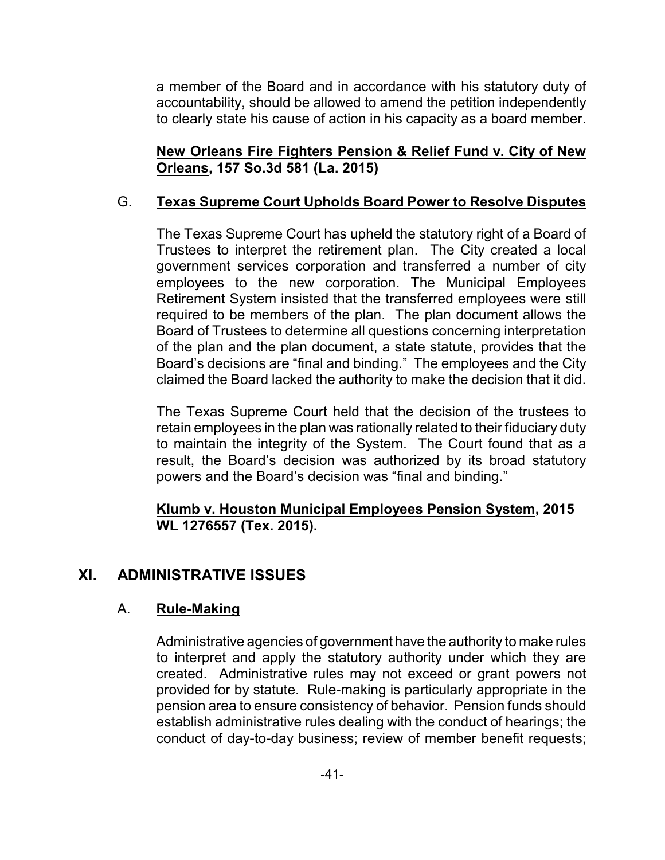a member of the Board and in accordance with his statutory duty of accountability, should be allowed to amend the petition independently to clearly state his cause of action in his capacity as a board member.

**New Orleans Fire Fighters Pension & Relief Fund v. City of New Orleans, 157 So.3d 581 (La. 2015)**

## G. **Texas Supreme Court Upholds Board Power to Resolve Disputes**

The Texas Supreme Court has upheld the statutory right of a Board of Trustees to interpret the retirement plan. The City created a local government services corporation and transferred a number of city employees to the new corporation. The Municipal Employees Retirement System insisted that the transferred employees were still required to be members of the plan. The plan document allows the Board of Trustees to determine all questions concerning interpretation of the plan and the plan document, a state statute, provides that the Board's decisions are "final and binding." The employees and the City claimed the Board lacked the authority to make the decision that it did.

The Texas Supreme Court held that the decision of the trustees to retain employees in the plan was rationally related to their fiduciary duty to maintain the integrity of the System. The Court found that as a result, the Board's decision was authorized by its broad statutory powers and the Board's decision was "final and binding."

#### **Klumb v. Houston Municipal Employees Pension System, 2015 WL 1276557 (Tex. 2015).**

## **XI. ADMINISTRATIVE ISSUES**

#### A. **Rule-Making**

Administrative agencies of government have the authority to make rules to interpret and apply the statutory authority under which they are created. Administrative rules may not exceed or grant powers not provided for by statute. Rule-making is particularly appropriate in the pension area to ensure consistency of behavior. Pension funds should establish administrative rules dealing with the conduct of hearings; the conduct of day-to-day business; review of member benefit requests;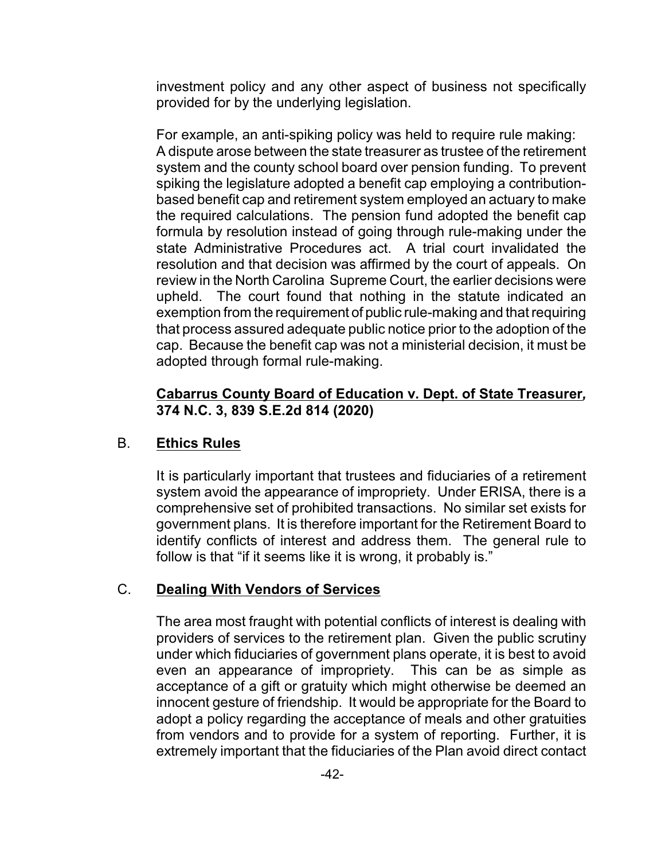investment policy and any other aspect of business not specifically provided for by the underlying legislation.

For example, an anti-spiking policy was held to require rule making: A dispute arose between the state treasurer as trustee of the retirement system and the county school board over pension funding. To prevent spiking the legislature adopted a benefit cap employing a contributionbased benefit cap and retirement system employed an actuary to make the required calculations. The pension fund adopted the benefit cap formula by resolution instead of going through rule-making under the state Administrative Procedures act. A trial court invalidated the resolution and that decision was affirmed by the court of appeals. On review in the North Carolina Supreme Court, the earlier decisions were upheld. The court found that nothing in the statute indicated an exemption from the requirement of public rule-making and that requiring that process assured adequate public notice prior to the adoption of the cap. Because the benefit cap was not a ministerial decision, it must be adopted through formal rule-making.

#### **Cabarrus County Board of Education v. Dept. of State Treasurer***,*  **374 N.C. 3, 839 S.E.2d 814 (2020)**

#### B. **Ethics Rules**

It is particularly important that trustees and fiduciaries of a retirement system avoid the appearance of impropriety. Under ERISA, there is a comprehensive set of prohibited transactions. No similar set exists for government plans. It is therefore important for the Retirement Board to identify conflicts of interest and address them. The general rule to follow is that "if it seems like it is wrong, it probably is."

#### C. **Dealing With Vendors of Services**

The area most fraught with potential conflicts of interest is dealing with providers of services to the retirement plan. Given the public scrutiny under which fiduciaries of government plans operate, it is best to avoid even an appearance of impropriety. This can be as simple as acceptance of a gift or gratuity which might otherwise be deemed an innocent gesture of friendship. It would be appropriate for the Board to adopt a policy regarding the acceptance of meals and other gratuities from vendors and to provide for a system of reporting. Further, it is extremely important that the fiduciaries of the Plan avoid direct contact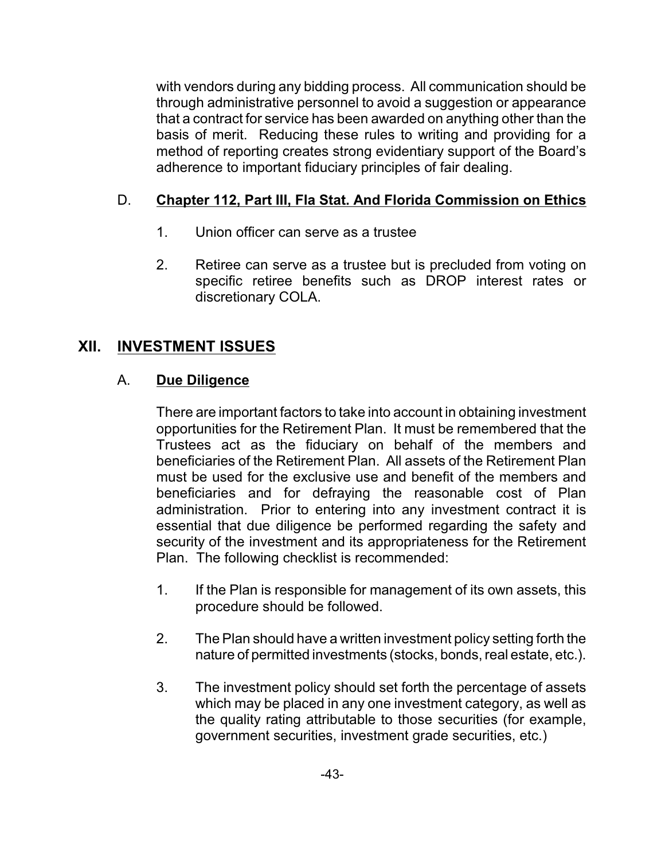with vendors during any bidding process. All communication should be through administrative personnel to avoid a suggestion or appearance that a contract for service has been awarded on anything other than the basis of merit. Reducing these rules to writing and providing for a method of reporting creates strong evidentiary support of the Board's adherence to important fiduciary principles of fair dealing.

## D. **Chapter 112, Part III, Fla Stat. And Florida Commission on Ethics**

- 1. Union officer can serve as a trustee
- 2. Retiree can serve as a trustee but is precluded from voting on specific retiree benefits such as DROP interest rates or discretionary COLA.

## **XII. INVESTMENT ISSUES**

#### A. **Due Diligence**

There are important factors to take into account in obtaining investment opportunities for the Retirement Plan. It must be remembered that the Trustees act as the fiduciary on behalf of the members and beneficiaries of the Retirement Plan. All assets of the Retirement Plan must be used for the exclusive use and benefit of the members and beneficiaries and for defraying the reasonable cost of Plan administration. Prior to entering into any investment contract it is essential that due diligence be performed regarding the safety and security of the investment and its appropriateness for the Retirement Plan. The following checklist is recommended:

- 1. If the Plan is responsible for management of its own assets, this procedure should be followed.
- 2. The Plan should have a written investment policy setting forth the nature of permitted investments (stocks, bonds, real estate, etc.).
- 3. The investment policy should set forth the percentage of assets which may be placed in any one investment category, as well as the quality rating attributable to those securities (for example, government securities, investment grade securities, etc.)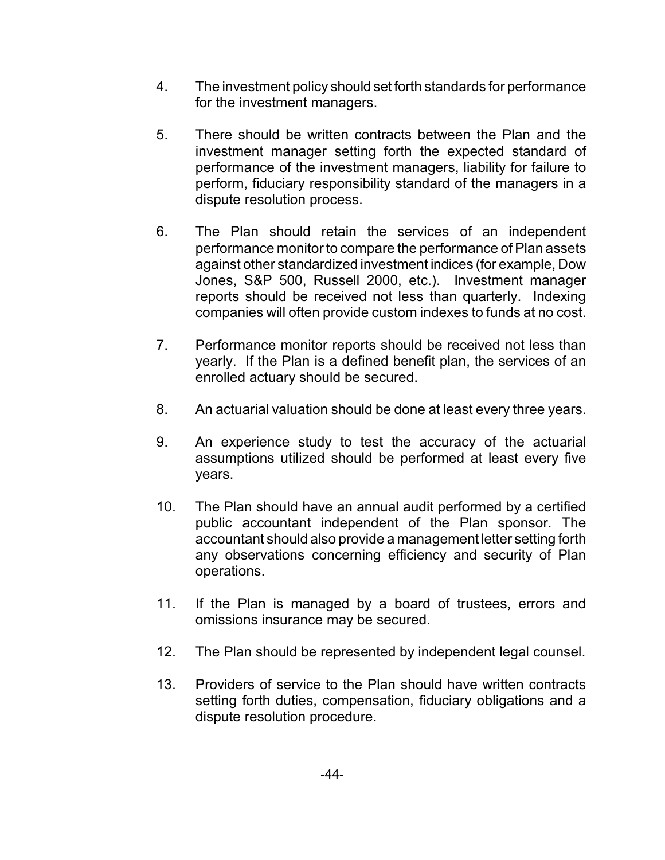- 4. The investment policy should set forth standards for performance for the investment managers.
- 5. There should be written contracts between the Plan and the investment manager setting forth the expected standard of performance of the investment managers, liability for failure to perform, fiduciary responsibility standard of the managers in a dispute resolution process.
- 6. The Plan should retain the services of an independent performance monitor to compare the performance of Plan assets against other standardized investment indices (for example, Dow Jones, S&P 500, Russell 2000, etc.). Investment manager reports should be received not less than quarterly. Indexing companies will often provide custom indexes to funds at no cost.
- 7. Performance monitor reports should be received not less than yearly. If the Plan is a defined benefit plan, the services of an enrolled actuary should be secured.
- 8. An actuarial valuation should be done at least every three years.
- 9. An experience study to test the accuracy of the actuarial assumptions utilized should be performed at least every five years.
- 10. The Plan should have an annual audit performed by a certified public accountant independent of the Plan sponsor. The accountant should also provide a management letter setting forth any observations concerning efficiency and security of Plan operations.
- 11. If the Plan is managed by a board of trustees, errors and omissions insurance may be secured.
- 12. The Plan should be represented by independent legal counsel.
- 13. Providers of service to the Plan should have written contracts setting forth duties, compensation, fiduciary obligations and a dispute resolution procedure.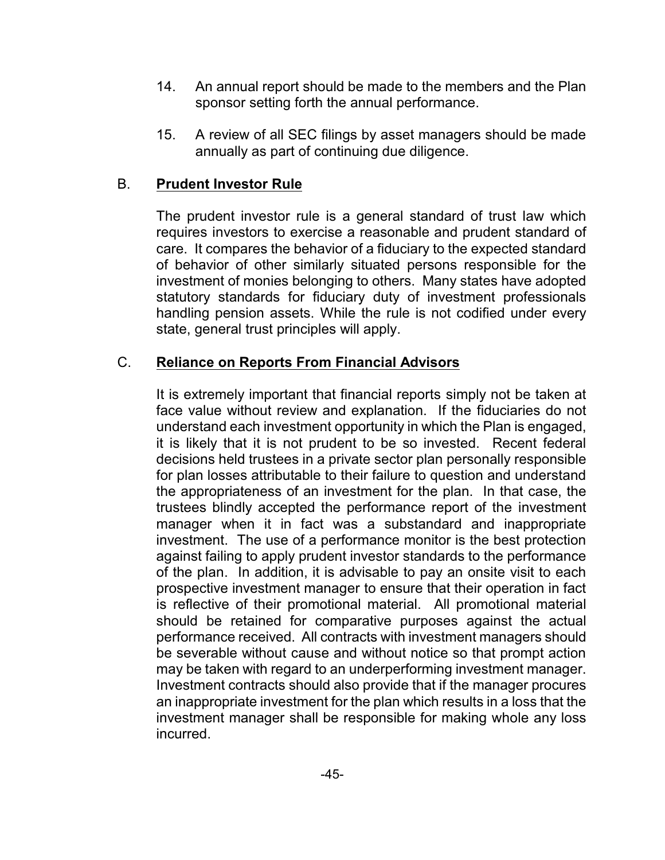- 14. An annual report should be made to the members and the Plan sponsor setting forth the annual performance.
- 15. A review of all SEC filings by asset managers should be made annually as part of continuing due diligence.

#### B. **Prudent Investor Rule**

The prudent investor rule is a general standard of trust law which requires investors to exercise a reasonable and prudent standard of care. It compares the behavior of a fiduciary to the expected standard of behavior of other similarly situated persons responsible for the investment of monies belonging to others. Many states have adopted statutory standards for fiduciary duty of investment professionals handling pension assets. While the rule is not codified under every state, general trust principles will apply.

#### C. **Reliance on Reports From Financial Advisors**

It is extremely important that financial reports simply not be taken at face value without review and explanation. If the fiduciaries do not understand each investment opportunity in which the Plan is engaged, it is likely that it is not prudent to be so invested. Recent federal decisions held trustees in a private sector plan personally responsible for plan losses attributable to their failure to question and understand the appropriateness of an investment for the plan. In that case, the trustees blindly accepted the performance report of the investment manager when it in fact was a substandard and inappropriate investment. The use of a performance monitor is the best protection against failing to apply prudent investor standards to the performance of the plan. In addition, it is advisable to pay an onsite visit to each prospective investment manager to ensure that their operation in fact is reflective of their promotional material. All promotional material should be retained for comparative purposes against the actual performance received. All contracts with investment managers should be severable without cause and without notice so that prompt action may be taken with regard to an underperforming investment manager. Investment contracts should also provide that if the manager procures an inappropriate investment for the plan which results in a loss that the investment manager shall be responsible for making whole any loss incurred.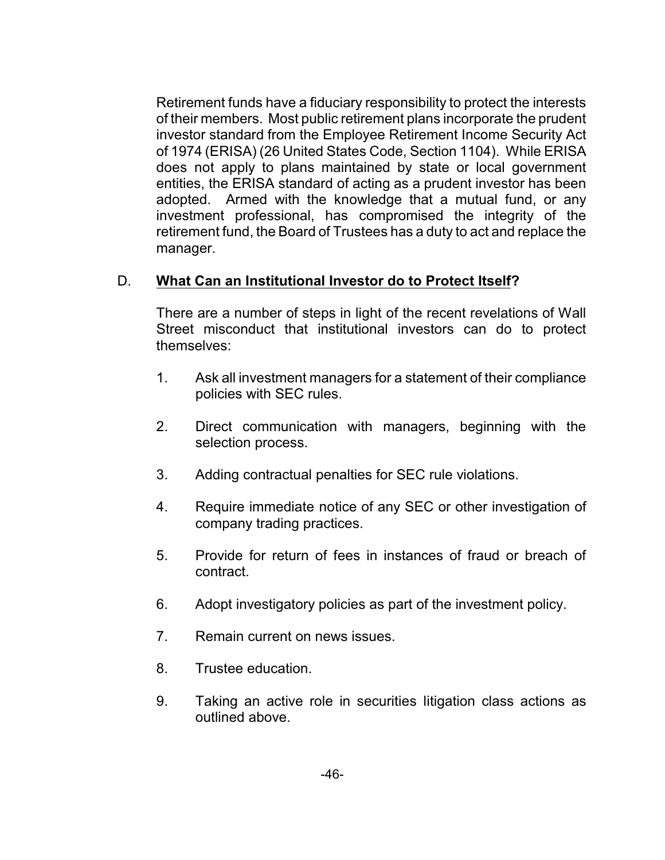Retirement funds have a fiduciary responsibility to protect the interests of their members. Most public retirement plans incorporate the prudent investor standard from the Employee Retirement Income Security Act of 1974 (ERISA) (26 United States Code, Section 1104). While ERISA does not apply to plans maintained by state or local government entities, the ERISA standard of acting as a prudent investor has been adopted. Armed with the knowledge that a mutual fund, or any investment professional, has compromised the integrity of the retirement fund, the Board of Trustees has a duty to act and replace the manager.

#### D. **What Can an Institutional Investor do to Protect Itself?**

There are a number of steps in light of the recent revelations of Wall Street misconduct that institutional investors can do to protect themselves:

- 1. Ask all investment managers for a statement of their compliance policies with SEC rules.
- 2. Direct communication with managers, beginning with the selection process.
- 3. Adding contractual penalties for SEC rule violations.
- 4. Require immediate notice of any SEC or other investigation of company trading practices.
- 5. Provide for return of fees in instances of fraud or breach of contract.
- 6. Adopt investigatory policies as part of the investment policy.
- 7. Remain current on news issues.
- 8. Trustee education.
- 9. Taking an active role in securities litigation class actions as outlined above.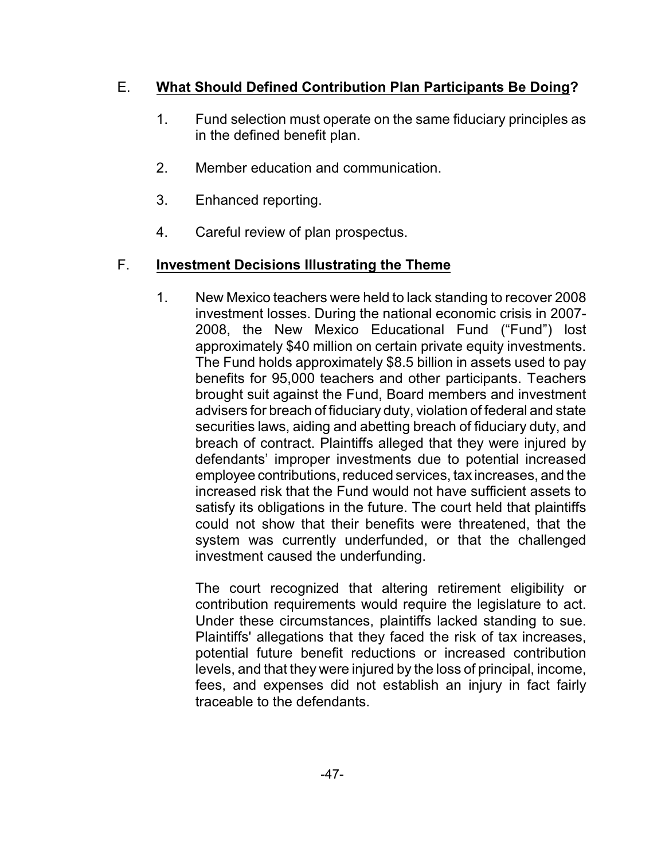## E. **What Should Defined Contribution Plan Participants Be Doing?**

- 1. Fund selection must operate on the same fiduciary principles as in the defined benefit plan.
- 2. Member education and communication.
- 3. Enhanced reporting.
- 4. Careful review of plan prospectus.

#### F. **Investment Decisions Illustrating the Theme**

1. New Mexico teachers were held to lack standing to recover 2008 investment losses. During the national economic crisis in 2007- 2008, the New Mexico Educational Fund ("Fund") lost approximately \$40 million on certain private equity investments. The Fund holds approximately \$8.5 billion in assets used to pay benefits for 95,000 teachers and other participants. Teachers brought suit against the Fund, Board members and investment advisers for breach of fiduciary duty, violation of federal and state securities laws, aiding and abetting breach of fiduciary duty, and breach of contract. Plaintiffs alleged that they were injured by defendants' improper investments due to potential increased employee contributions, reduced services, tax increases, and the increased risk that the Fund would not have sufficient assets to satisfy its obligations in the future. The court held that plaintiffs could not show that their benefits were threatened, that the system was currently underfunded, or that the challenged investment caused the underfunding.

The court recognized that altering retirement eligibility or contribution requirements would require the legislature to act. Under these circumstances, plaintiffs lacked standing to sue. Plaintiffs' allegations that they faced the risk of tax increases, potential future benefit reductions or increased contribution levels, and that they were injured by the loss of principal, income, fees, and expenses did not establish an injury in fact fairly traceable to the defendants.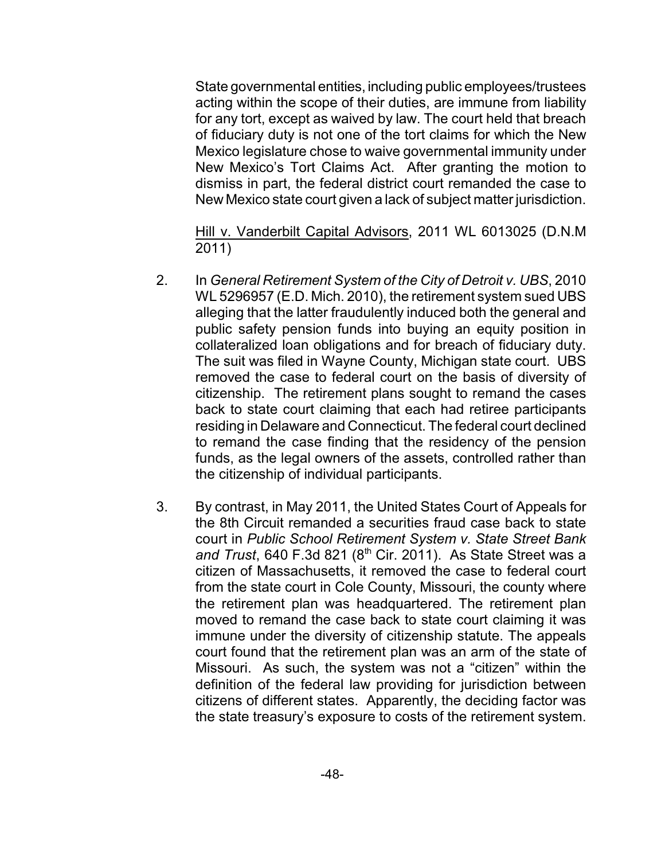State governmental entities, including public employees/trustees acting within the scope of their duties, are immune from liability for any tort, except as waived by law. The court held that breach of fiduciary duty is not one of the tort claims for which the New Mexico legislature chose to waive governmental immunity under New Mexico's Tort Claims Act. After granting the motion to dismiss in part, the federal district court remanded the case to New Mexico state court given a lack of subject matter jurisdiction.

Hill v. Vanderbilt Capital Advisors, 2011 WL 6013025 (D.N.M 2011)

- 2. In *General Retirement System of the City of Detroit v. UBS*, 2010 WL 5296957 (E.D. Mich. 2010), the retirement system sued UBS alleging that the latter fraudulently induced both the general and public safety pension funds into buying an equity position in collateralized loan obligations and for breach of fiduciary duty. The suit was filed in Wayne County, Michigan state court. UBS removed the case to federal court on the basis of diversity of citizenship. The retirement plans sought to remand the cases back to state court claiming that each had retiree participants residing in Delaware and Connecticut. The federal court declined to remand the case finding that the residency of the pension funds, as the legal owners of the assets, controlled rather than the citizenship of individual participants.
- 3. By contrast, in May 2011, the United States Court of Appeals for the 8th Circuit remanded a securities fraud case back to state court in *Public School Retirement System v. State Street Bank and Trust*, 640 F.3d 821 (8th Cir. 2011). As State Street was a citizen of Massachusetts, it removed the case to federal court from the state court in Cole County, Missouri, the county where the retirement plan was headquartered. The retirement plan moved to remand the case back to state court claiming it was immune under the diversity of citizenship statute. The appeals court found that the retirement plan was an arm of the state of Missouri. As such, the system was not a "citizen" within the definition of the federal law providing for jurisdiction between citizens of different states. Apparently, the deciding factor was the state treasury's exposure to costs of the retirement system.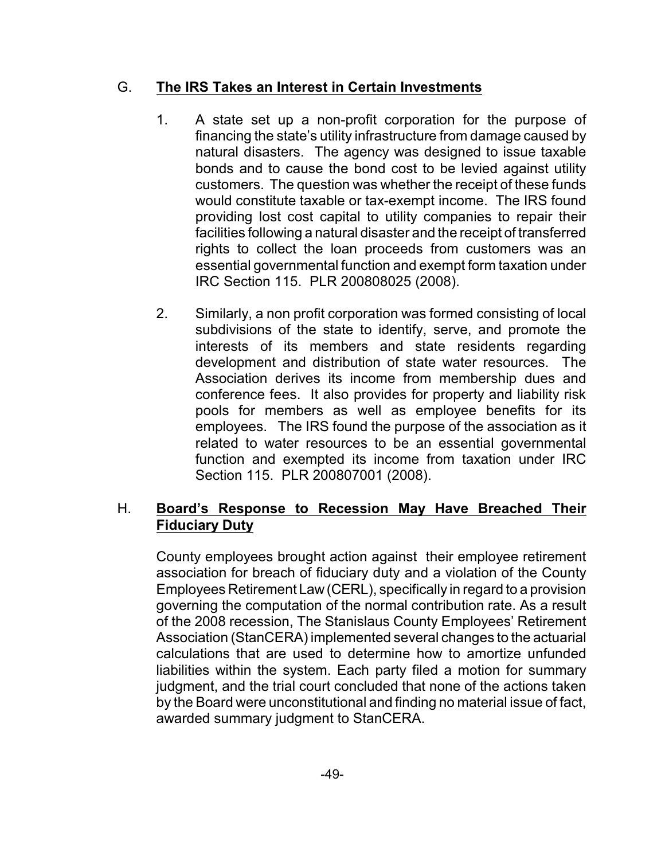#### G. **The IRS Takes an Interest in Certain Investments**

- 1. A state set up a non-profit corporation for the purpose of financing the state's utility infrastructure from damage caused by natural disasters. The agency was designed to issue taxable bonds and to cause the bond cost to be levied against utility customers. The question was whether the receipt of these funds would constitute taxable or tax-exempt income. The IRS found providing lost cost capital to utility companies to repair their facilities following a natural disaster and the receipt of transferred rights to collect the loan proceeds from customers was an essential governmental function and exempt form taxation under IRC Section 115. PLR 200808025 (2008).
- 2. Similarly, a non profit corporation was formed consisting of local subdivisions of the state to identify, serve, and promote the interests of its members and state residents regarding development and distribution of state water resources. The Association derives its income from membership dues and conference fees. It also provides for property and liability risk pools for members as well as employee benefits for its employees. The IRS found the purpose of the association as it related to water resources to be an essential governmental function and exempted its income from taxation under IRC Section 115. PLR 200807001 (2008).

#### H. **Board's Response to Recession May Have Breached Their Fiduciary Duty**

County employees brought action against their employee retirement association for breach of fiduciary duty and a violation of the County Employees Retirement Law (CERL), specifically in regard to a provision governing the computation of the normal contribution rate. As a result of the 2008 recession, The Stanislaus County Employees' Retirement Association (StanCERA) implemented several changes to the actuarial calculations that are used to determine how to amortize unfunded liabilities within the system. Each party filed a motion for summary judgment, and the trial court concluded that none of the actions taken by the Board were unconstitutional and finding no material issue of fact, awarded summary judgment to StanCERA.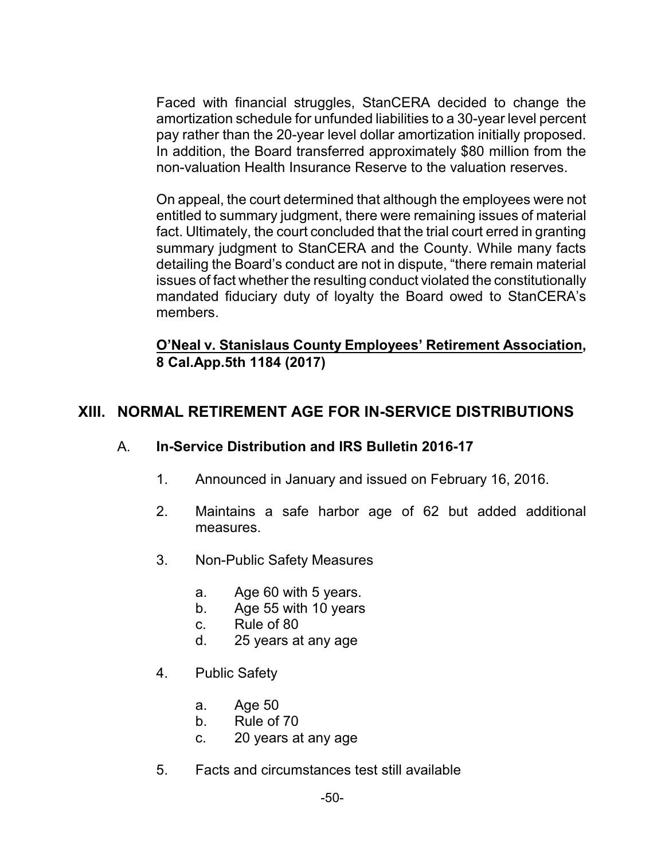Faced with financial struggles, StanCERA decided to change the amortization schedule for unfunded liabilities to a 30-year level percent pay rather than the 20-year level dollar amortization initially proposed. In addition, the Board transferred approximately \$80 million from the non-valuation Health Insurance Reserve to the valuation reserves.

On appeal, the court determined that although the employees were not entitled to summary judgment, there were remaining issues of material fact. Ultimately, the court concluded that the trial court erred in granting summary judgment to StanCERA and the County. While many facts detailing the Board's conduct are not in dispute, "there remain material issues of fact whether the resulting conduct violated the constitutionally mandated fiduciary duty of loyalty the Board owed to StanCERA's members.

#### **O'Neal v. Stanislaus County Employees' Retirement Association, 8 Cal.App.5th 1184 (2017)**

## **XIII. NORMAL RETIREMENT AGE FOR IN-SERVICE DISTRIBUTIONS**

#### A. **In-Service Distribution and IRS Bulletin 2016-17**

- 1. Announced in January and issued on February 16, 2016.
- 2. Maintains a safe harbor age of 62 but added additional measures.
- 3. Non-Public Safety Measures
	- a. Age 60 with 5 years.
	- b. Age 55 with 10 years
	- c. Rule of 80
	- d. 25 years at any age
- 4. Public Safety
	- a. Age 50
	- b. Rule of 70
	- c. 20 years at any age
- 5. Facts and circumstances test still available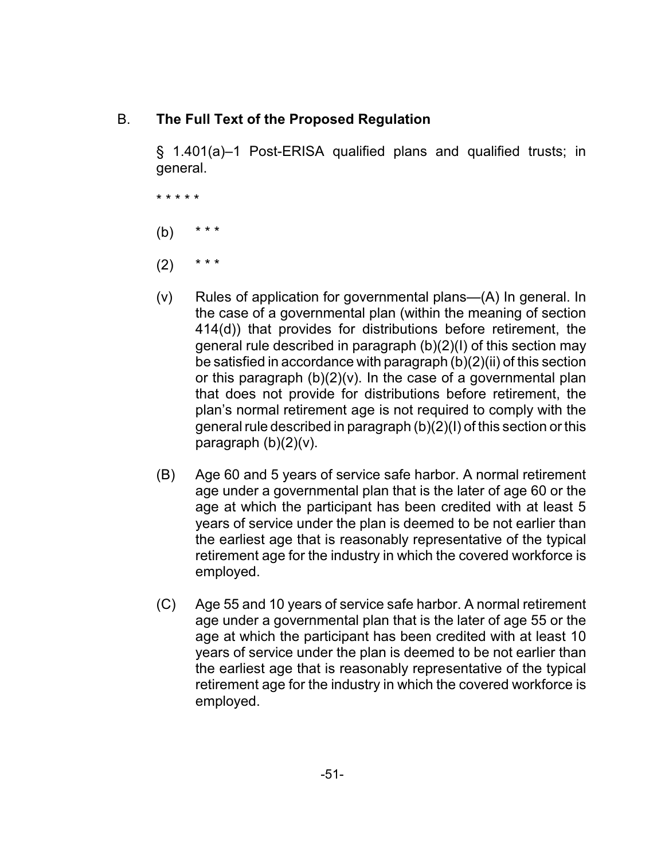#### B. **The Full Text of the Proposed Regulation**

§ 1.401(a)–1 Post-ERISA qualified plans and qualified trusts; in general.

\* \* \* \* \*

- $(b)$
- $(2)$  \* \* \*
- (v) Rules of application for governmental plans—(A) In general. In the case of a governmental plan (within the meaning of section 414(d)) that provides for distributions before retirement, the general rule described in paragraph (b)(2)(I) of this section may be satisfied in accordance with paragraph (b)(2)(ii) of this section or this paragraph  $(b)(2)(v)$ . In the case of a governmental plan that does not provide for distributions before retirement, the plan's normal retirement age is not required to comply with the general rule described in paragraph (b)(2)(I) of this section or this paragraph  $(b)(2)(v)$ .
- (B) Age 60 and 5 years of service safe harbor. A normal retirement age under a governmental plan that is the later of age 60 or the age at which the participant has been credited with at least 5 years of service under the plan is deemed to be not earlier than the earliest age that is reasonably representative of the typical retirement age for the industry in which the covered workforce is employed.
- (C) Age 55 and 10 years of service safe harbor. A normal retirement age under a governmental plan that is the later of age 55 or the age at which the participant has been credited with at least 10 years of service under the plan is deemed to be not earlier than the earliest age that is reasonably representative of the typical retirement age for the industry in which the covered workforce is employed.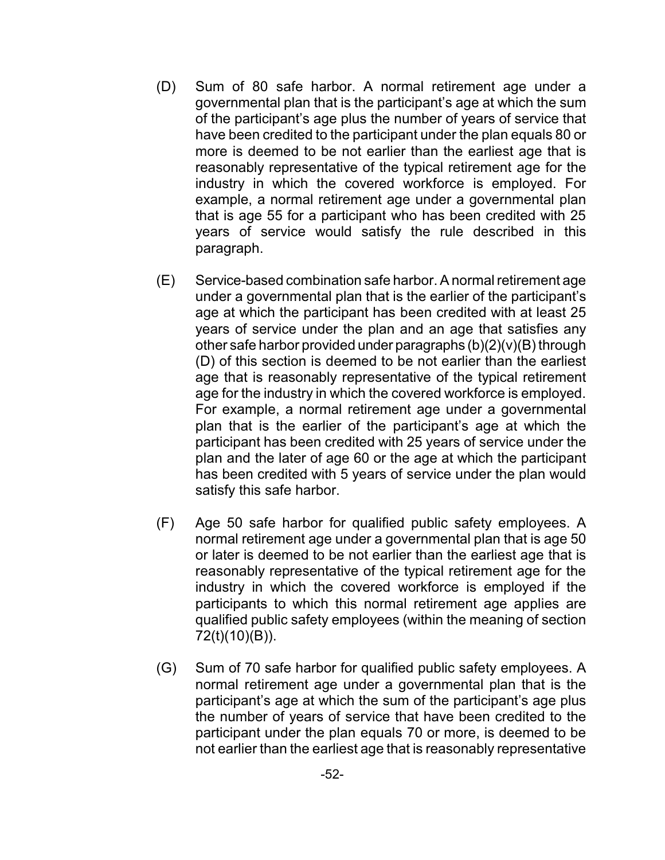- (D) Sum of 80 safe harbor. A normal retirement age under a governmental plan that is the participant's age at which the sum of the participant's age plus the number of years of service that have been credited to the participant under the plan equals 80 or more is deemed to be not earlier than the earliest age that is reasonably representative of the typical retirement age for the industry in which the covered workforce is employed. For example, a normal retirement age under a governmental plan that is age 55 for a participant who has been credited with 25 years of service would satisfy the rule described in this paragraph.
- (E) Service-based combination safe harbor. A normal retirement age under a governmental plan that is the earlier of the participant's age at which the participant has been credited with at least 25 years of service under the plan and an age that satisfies any other safe harbor provided under paragraphs  $(b)(2)(v)(B)$  through (D) of this section is deemed to be not earlier than the earliest age that is reasonably representative of the typical retirement age for the industry in which the covered workforce is employed. For example, a normal retirement age under a governmental plan that is the earlier of the participant's age at which the participant has been credited with 25 years of service under the plan and the later of age 60 or the age at which the participant has been credited with 5 years of service under the plan would satisfy this safe harbor.
- (F) Age 50 safe harbor for qualified public safety employees. A normal retirement age under a governmental plan that is age 50 or later is deemed to be not earlier than the earliest age that is reasonably representative of the typical retirement age for the industry in which the covered workforce is employed if the participants to which this normal retirement age applies are qualified public safety employees (within the meaning of section 72(t)(10)(B)).
- (G) Sum of 70 safe harbor for qualified public safety employees. A normal retirement age under a governmental plan that is the participant's age at which the sum of the participant's age plus the number of years of service that have been credited to the participant under the plan equals 70 or more, is deemed to be not earlier than the earliest age that is reasonably representative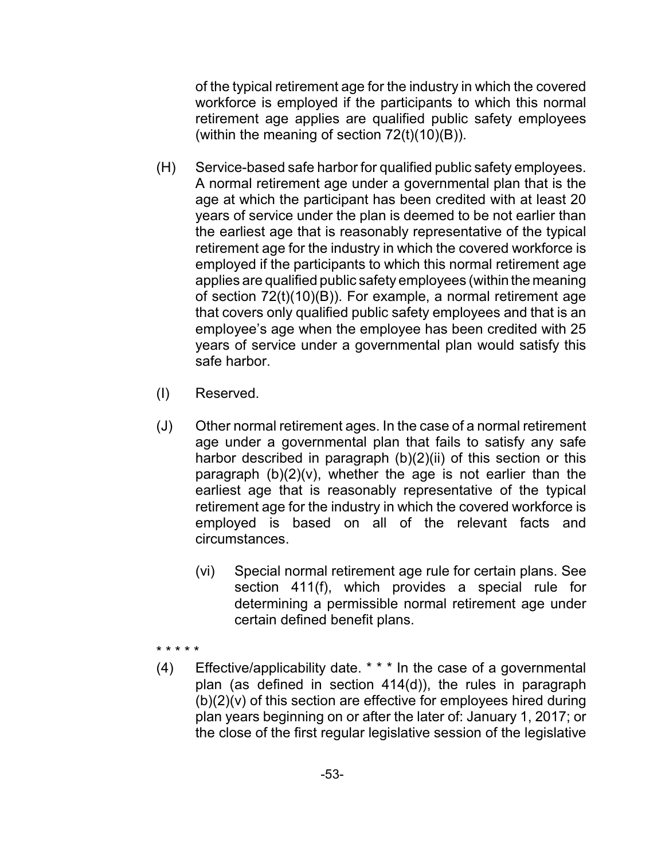of the typical retirement age for the industry in which the covered workforce is employed if the participants to which this normal retirement age applies are qualified public safety employees (within the meaning of section  $72(t)(10)(B)$ ).

- (H) Service-based safe harbor for qualified public safety employees. A normal retirement age under a governmental plan that is the age at which the participant has been credited with at least 20 years of service under the plan is deemed to be not earlier than the earliest age that is reasonably representative of the typical retirement age for the industry in which the covered workforce is employed if the participants to which this normal retirement age applies are qualified public safety employees (within the meaning of section 72(t)(10)(B)). For example, a normal retirement age that covers only qualified public safety employees and that is an employee's age when the employee has been credited with 25 years of service under a governmental plan would satisfy this safe harbor.
- (I) Reserved.
- (J) Other normal retirement ages. In the case of a normal retirement age under a governmental plan that fails to satisfy any safe harbor described in paragraph (b)(2)(ii) of this section or this paragraph  $(b)(2)(v)$ , whether the age is not earlier than the earliest age that is reasonably representative of the typical retirement age for the industry in which the covered workforce is employed is based on all of the relevant facts and circumstances.
	- (vi) Special normal retirement age rule for certain plans. See section 411(f), which provides a special rule for determining a permissible normal retirement age under certain defined benefit plans.
- \* \* \* \* \*
- (4) Effective/applicability date. \* \* \* In the case of a governmental plan (as defined in section 414(d)), the rules in paragraph  $(b)(2)(v)$  of this section are effective for employees hired during plan years beginning on or after the later of: January 1, 2017; or the close of the first regular legislative session of the legislative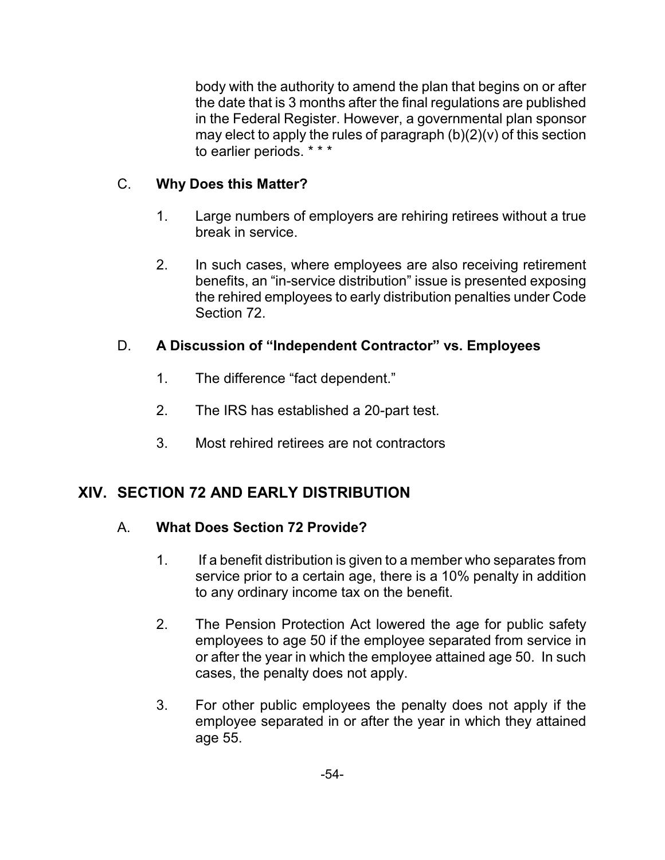body with the authority to amend the plan that begins on or after the date that is 3 months after the final regulations are published in the Federal Register. However, a governmental plan sponsor may elect to apply the rules of paragraph (b)(2)(v) of this section to earlier periods. \* \* \*

## C. **Why Does this Matter?**

- 1. Large numbers of employers are rehiring retirees without a true break in service.
- 2. In such cases, where employees are also receiving retirement benefits, an "in-service distribution" issue is presented exposing the rehired employees to early distribution penalties under Code Section 72.

## D. **A Discussion of "Independent Contractor" vs. Employees**

- 1. The difference "fact dependent."
- 2. The IRS has established a 20-part test.
- 3. Most rehired retirees are not contractors

## **XIV. SECTION 72 AND EARLY DISTRIBUTION**

#### A. **What Does Section 72 Provide?**

- 1. If a benefit distribution is given to a member who separates from service prior to a certain age, there is a 10% penalty in addition to any ordinary income tax on the benefit.
- 2. The Pension Protection Act lowered the age for public safety employees to age 50 if the employee separated from service in or after the year in which the employee attained age 50. In such cases, the penalty does not apply.
- 3. For other public employees the penalty does not apply if the employee separated in or after the year in which they attained age 55.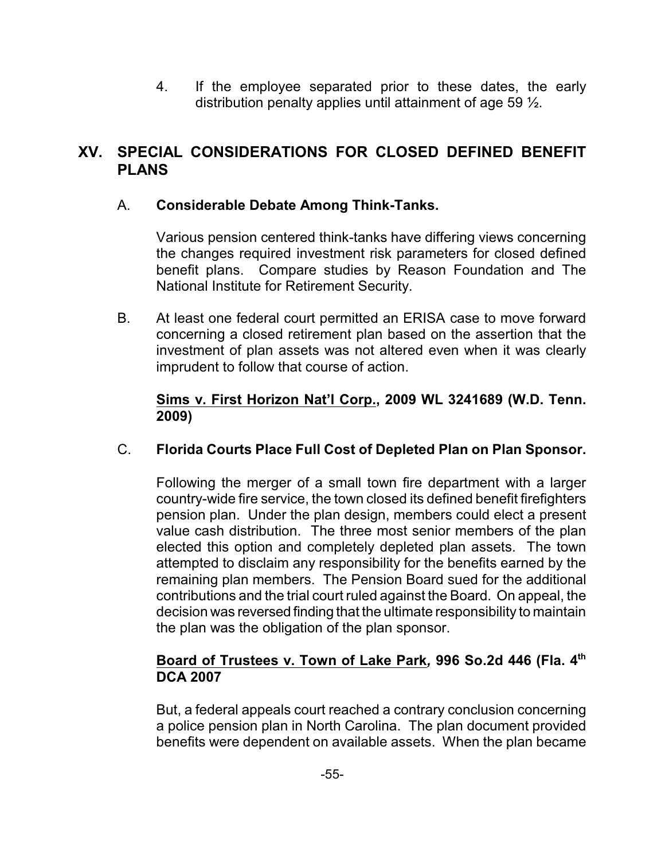4. If the employee separated prior to these dates, the early distribution penalty applies until attainment of age 59 ½.

## **XV. SPECIAL CONSIDERATIONS FOR CLOSED DEFINED BENEFIT PLANS**

#### A. **Considerable Debate Among Think-Tanks.**

Various pension centered think-tanks have differing views concerning the changes required investment risk parameters for closed defined benefit plans. Compare studies by Reason Foundation and The National Institute for Retirement Security.

B. At least one federal court permitted an ERISA case to move forward concerning a closed retirement plan based on the assertion that the investment of plan assets was not altered even when it was clearly imprudent to follow that course of action.

#### **Sims v. First Horizon Nat'l Corp., 2009 WL 3241689 (W.D. Tenn. 2009)**

## C. **Florida Courts Place Full Cost of Depleted Plan on Plan Sponsor.**

Following the merger of a small town fire department with a larger country-wide fire service, the town closed its defined benefit firefighters pension plan. Under the plan design, members could elect a present value cash distribution. The three most senior members of the plan elected this option and completely depleted plan assets. The town attempted to disclaim any responsibility for the benefits earned by the remaining plan members. The Pension Board sued for the additional contributions and the trial court ruled against the Board. On appeal, the decision was reversed finding that the ultimate responsibility to maintain the plan was the obligation of the plan sponsor.

#### **Board of Trustees v. Town of Lake Park***,* **996 So.2d 446 (Fla. 4 th DCA 2007**

But, a federal appeals court reached a contrary conclusion concerning a police pension plan in North Carolina. The plan document provided benefits were dependent on available assets. When the plan became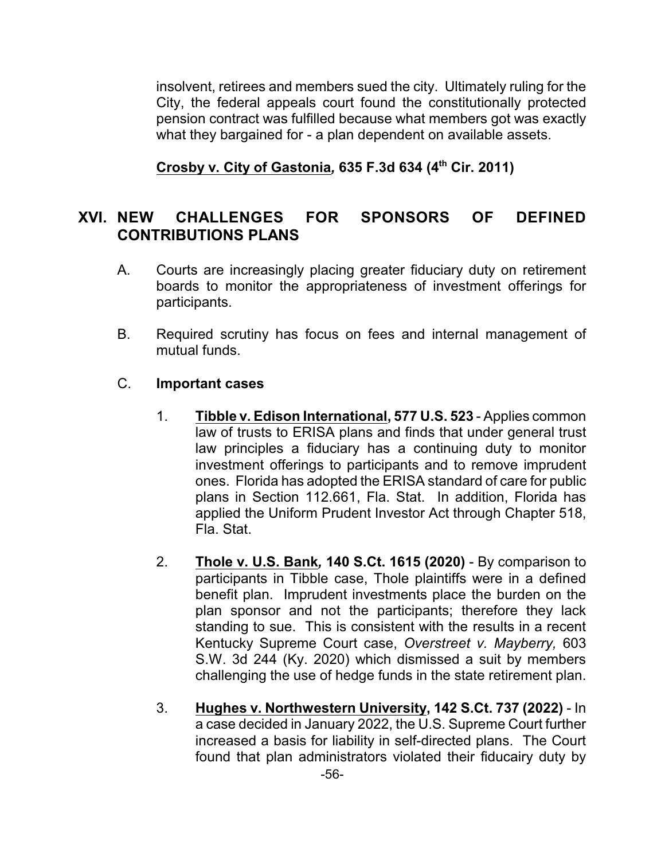insolvent, retirees and members sued the city. Ultimately ruling for the City, the federal appeals court found the constitutionally protected pension contract was fulfilled because what members got was exactly what they bargained for - a plan dependent on available assets.

**Crosby v. City of Gastonia***,* **635 F.3d 634 (4th Cir. 2011)**

## **XVI. NEW CHALLENGES FOR SPONSORS OF DEFINED CONTRIBUTIONS PLANS**

- A. Courts are increasingly placing greater fiduciary duty on retirement boards to monitor the appropriateness of investment offerings for participants.
- B. Required scrutiny has focus on fees and internal management of mutual funds.

#### C. **Important cases**

- 1. **Tibble v. Edison International, 577 U.S. 523**  Applies common law of trusts to ERISA plans and finds that under general trust law principles a fiduciary has a continuing duty to monitor investment offerings to participants and to remove imprudent ones. Florida has adopted the ERISA standard of care for public plans in Section 112.661, Fla. Stat. In addition, Florida has applied the Uniform Prudent Investor Act through Chapter 518, Fla. Stat.
- 2. **Thole v. U.S. Bank***,* **140 S.Ct. 1615 (2020)**  By comparison to participants in Tibble case, Thole plaintiffs were in a defined benefit plan. Imprudent investments place the burden on the plan sponsor and not the participants; therefore they lack standing to sue. This is consistent with the results in a recent Kentucky Supreme Court case, *Overstreet v. Mayberry,* 603 S.W. 3d 244 (Ky. 2020) which dismissed a suit by members challenging the use of hedge funds in the state retirement plan.
- 3. **Hughes v. Northwestern University, 142 S.Ct. 737 (2022)**  In a case decided in January 2022, the U.S. Supreme Court further increased a basis for liability in self-directed plans. The Court found that plan administrators violated their fiducairy duty by